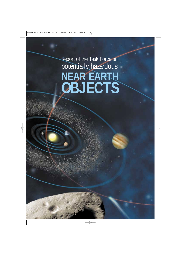# Report of the Task Force on potentially hazardous **NEAR EARTH OBJECTS**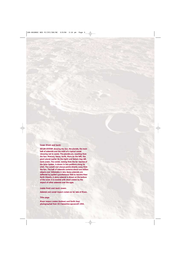#### *Cover (front and back)*

*SOLAR SYSTEM showing the Sun, the planets, the main belt of asteroids and the orbit of a typical comet (drawing not to scale). The planets are, counting from the Sun: Mercury, Venus, Earth, Mars (to the left), the giant planet Jupiter (to the right) and Saturn (top left, back cover). The comet, coming from the far reaches of the Solar System, is shown in two positions along its orbit. The comet's tail always points directly away from the Sun. The belt of asteroids contains about one million objects over 1kilometre in size. Some asteroids are deflected by Jupiter's gravitational field to become Near Earth Objects. A stony asteroid is shown at the bottom of the cover; it is covered with small craters by the impact of other asteroids over the ages.*

### *Inside front and back covers*

*Asteroid and comet impact craters on far side of Moon.*

#### *Title page*

*Moon impact craters (bottom) and Earth (top) photographed from US Clementine spacecraft 1994.*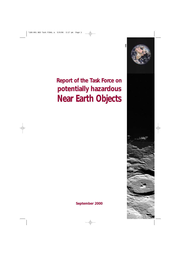# **Report of the Task Force on potentially hazardous Near Earth Objects**

**September 2000**

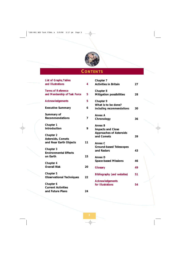

# **CONTENTS**

| <b>List of Graphs, Tables</b><br>and Illustrations                  | 4              | Chapter 7<br><b>Activities in Britain</b>               | 27 |
|---------------------------------------------------------------------|----------------|---------------------------------------------------------|----|
| <b>Terms of Reference</b><br>and Membership of Task Force           | 5              | Chapter 8<br><b>Mitigation possibilities</b>            | 28 |
| <b>Acknowledgements</b>                                             | 5              | Chapter 9                                               |    |
| <b>Executive Summary</b>                                            | 6              | What is to be done?<br>including recommendations        | 30 |
| Summary of<br><b>Recommendations</b>                                | $\overline{7}$ | <b>Annex A</b><br>Chronology                            | 36 |
| Chapter 1<br><b>Introduction</b>                                    | 9              | <b>Annex B</b><br><b>Impacts and Close</b>              |    |
| Chapter 2<br><b>Asteroids, Comets</b>                               |                | <b>Approaches of Asteroids</b><br>and Comets            | 39 |
| and Near Earth Objects<br>Chapter 3<br><b>Environmental Effects</b> | 11             | Annex C<br><b>Ground-based Telescopes</b><br>and Radars | 43 |
| on Earth                                                            | 15             | <b>Annex D</b><br><b>Space-based Missions</b>           | 46 |
| Chapter 4<br><b>Overall Risk</b>                                    | 20             | <b>Glossary</b>                                         | 49 |
| Chapter 5<br><b>Observational Techniques</b>                        | 22             | <b>Bibliography (and websites)</b>                      | 51 |
| Chapter 6<br><b>Current Activities</b>                              |                | <b>Acknowledgements</b><br>for Illustrations            | 54 |
| and Future Plans                                                    | 24             |                                                         |    |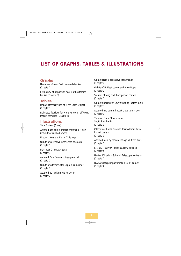# **LIST OF GRAPHS, TABLES & ILLUSTRATIONS**

### **Graphs**

Numbers of near Earth asteroids by size *(Chapter 2)*

Frequency of impacts of near Earth asteroids by size *(Chapter 3)*

### **Tables**

Impact effects by size of Near Earth Object *(Chapter 3)*

Estimated fatalities for wide variety of different impact scenarios *(Chapter 4)*

### **Illustrations**

Solar System *(Cover)*

Asteroid and comet impact craters on Moon *(Inside front and back covers)*

Moon craters and Earth *(Title page)*

Orbits of all known near Earth asteroids *(Chapter 1)*

Barringer Crater,Arizona *(Chapter 1)*

Asteroid Eros from orbiting spacecraft *(Chapter 2)*

Orbits of asteroids Aten, Apollo and Amor *(Chapter 2)*

Asteroid belt within Jupiter's orbit *(Chapter 2)*

Comet Hale-Bopp above Stonehenge *(Chapter 2)*

Orbits of Halley's comet and Hale-Bopp *(Chapter 2)*

Sources of long and short period comets *(Chapter 2)*

Comet Shoemaker-Levy 9 hitting Jupiter, 1994 *(Chapter 3)*

Asteroid and comet impact craters on Moon *(Chapter 3)*

Tsunami from Eltanin impact, South East Pacific *(Chapter 3)*

Clearwater Lakes, Quebec, formed from twin impact craters *(Chapter 3)*

Asteroid seen by movement against fixed stars *(Chapter 5)*

LINEAR Survey Telescope, New Mexico *(Chapter 6)*

United Kingdom Schmidt Telescope,Australia *(Chapter 7)*

NASA's Deep Impact mission to hit comet *(Chapter 8)*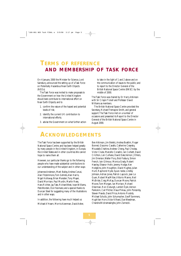# **TERMS OF REFERENCE AND MEMBERSHIP OF TASK FORCE**

On 4 January 2000 the Minister for Science, Lord Sainsbury, announced the setting up of a Task Force on Potentially Hazardous Near Earth Objects (NEOs).

The Task Force was invited to make proposals to the Government on how the United Kingdom should best contribute to international effort on Near Earth Objects; and to

- 1. confirm the nature of the hazard and potential levels of risk;
- 2. identify the current UK contribution to international efforts;
- 3. advise the Government on what further action

to take in the light of 1 and 2 above and on the communication of issues to the public; and to report to the Director General of the British National Space Centre (BNSC) by the middle of 2000.

The Task Force was chaired by Dr Harry Atkinson with Sir Crispin Tickell and Professor David Williams as members.

The British National Space Centre provided the Secretary, Richard Tremayne-Smith, and general support.The Task Force met on a number of occasions and presented its Report to the Director General of the British National Space Centre in August 2000.

# **ACKNOWLEDGEMENTS**

The Task Force has been supported by the British National Space Centre; and has been helped greatly by many people in the United Kingdom, in Europe, the United States and in other countries.We cannot hope to name them all.

However, our particular thanks go to the following people who have made substantial contributions to our understanding of the subject and in other ways:

Johannes Anderson, Mark Bailey, Andrea Carusi, Alan Fitzsimmons,Tom Gehrels,Alan Harris, Nigel Holloway, Brian Marsden,Tony Mayer, David Morrison, Paul Murdin, Martin Rees, Hans Richter, Jay Tate, Richard West, Iwan Williams, Pete Worden, Don Yeomans; and a special thanks to Duncan Steel for suggesting many of the illustrations and in other ways.

In addition, the following have much helped us: Michael A'Hearn, Morris Aizenman, David Asher, Ben Atkinson, Jim Beletic,Andrea Boattini, Roger Bonnet, Giacomo Cavallo, Catherine Cesarsky, Moustafa Chahine, Andrew Cheng, Paul Chodas, Victor Clube, Marcello Coradini, Ian Corbett, David Crichton, Len Culhane, David Dale,Vernon J Ehlers, Jim Emerson,Walter Flury, Bob Fosbury, Simon French, Iain Gilmour, Monica Grady, Robert Hawley, Eleanor Helin, Jeremy Hodge, Ken Hodgkins, John Houghton, David Hughes, Julian Hunt, Raymond Hyde, Syuzo Isobe, Lindley Johnson,Adrian Jones, Patrick Laycock, Jean Le Guen, Robert MacMillan,Vittorio Manno, Neil McBride, Craig McKay, Duncan Moore, Patrick Moore,Tom Morgan, Ian Morison, Richard Oberman, Ron Oxburgh, Lembit Öpik,Vernon Pankokin, Carl Pilcher, Klaus Pinkau, John Ponsonby, Steven Pravdo, David Price,Antonio Rodotà, Michael Schultz, John Schumacher, Geoff Sommers, Hugh Van Horn,Victor Vilhard, Dan Weedman, Chandra Wickramasinghe, John Zarnecki.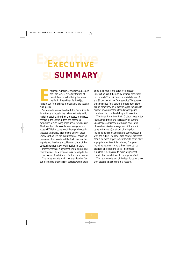# **summary Executive EXECUTIVE SUMMARY**

**ENO INCREDITED IN THE SUNDER STATES OF A STATE OF A STATE OF A STATE STATE OF A STATE STATE OF A STATE STATE STATE STATE STATE STATE STATE STATE STATE STATE STATE STATE STATE STATE STATE STATE STATE STATE STATE STATE STAT** orbit the Sun. Only a tiny fraction of them follow paths that bring them near the Earth. These Near Earth Objects high speeds.

Such objects have collided with the Earth since its formation, and brought the carbon and water which made life possible.They have also caused widespread changes in the Earth's surface, and occasional extinctions of such living organisms as the dinosaurs. The threat has only recently been recognised and accepted.This has come about through advances in telescope technology allowing the study of these usually faint objects, the identification of craters on the moon, other planets and the Earth as a result of impacts, and the dramatic collision of pieces of the comet Shoemaker-Levy 9 with Jupiter in 1994.

Impacts represent a significant risk to human and other forms of life. Means now exist to mitigate the consequences of such impacts for the human species.

The largest uncertainty in risk analysis arises from our incomplete knowledge of asteroids whose orbits

bring them near to the Earth.With greater information about them, fairly accurate predictions can be made.The risk from comets is between 10 and 30 per cent of that from asteroids.The advance warning period for a potential impact from a long period comet may be as short as a year compared to decades or centuries for asteroids. Short period comets can be considered along with asteroids.

The threat from Near Earth Objects raises major issues, among them the inadequacy of current knowledge, confirmation of hazard after initial observation, disaster management (if the worst came to the worst), methods of mitigation including deflection, and reliable communication with the public.The Task Force believes that steps should be taken at government level to set in place appropriate bodies – international, European including national – where these issues can be discussed and decisions taken.The United Kingdom is well placed to make a significant contribution to what should be a global effort.

The recommendations of the Task Force are given with supporting arguments in Chapter 9.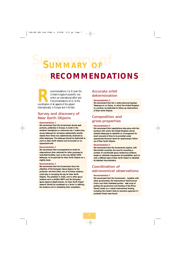# **recommendations Summary of SUMMARY OF RECOMMENDATIONS**

**Recommendations 1 to 9 cover the**<br>
United Kingdom's scientific role<br>
within an international effort and<br>
Recommendations 10 to 14 the<br>
coordination of all aspects of the subject United Kingdom's scientific role within an international effort and Recommendations 10 to 14 the internationally, in Europe and in Britain.

## **Survey and discovery of Near Earth Objects**

#### *Recommendation 1*

*We recommend that the Government should seek partners, preferably in Europe, to build in the southern hemisphere an advanced new 3 metre-class survey telescope for surveying substantially smaller objects than those now systematically observed by other telescopes. The telescope should be dedicated to work on Near Earth Objects and be located on an appropriate site.*

#### *Recommendation 2*

*We recommend that arrangements be made for observational data obtained for other purposes by wide-field facilities, such as the new British VISTA telescope, to be searched for Near Earth Objects on a nightly basis.*

### *Recommendation 3*

*We recommend that the Government draw the attention of the European Space Agency to the particular role that GAIA, one of its future missions, could play in surveying the sky for Near Earth Objects. The potential in GAIA, and in other space missions such as NASA's SIRTF and the European Space Agency's BepiColombo, for Near Earth Object research should be considered as a factor in defining the missions and in scheduling their completion.*

### **Accurate orbit determination**

#### *Recommendation 4*

*We recommend that the 1 metre Johannes Kapteyn Telescope on La Palma, in which the United Kingdom is a partner, be dedicated to follow-up observations of Near Earth Objects.*

### **Composition and gross properties**

#### *Recommendation 5*

*We recommend that negotiations take place with the partners with whom the United Kingdom shares suitable telescopes to establish an arrangement for small amounts of time to be provided under appropriate financial terms for spectroscopic followup of Near Earth Objects.*

#### *Recommendation 6*

*We recommend that the Government explore, with like-minded countries, the case for mounting a number of coordinated space rendezvous missions based on relatively inexpensive microsatellites, each to visit a different type of Near Earth Object to establish its detailed characteristics.*

### **Coordination of astronomical observations**

#### *Recommendation 7*

*We recommend that the Government – together with other governments, the International Astronomical Union and other interested parties – seek ways of putting the governance and funding of the Minor Planet Center on a robust international footing, including the Center's links to executive agencies if a potential threat were found.*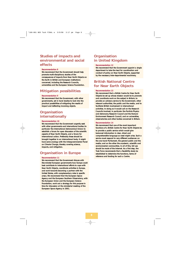## **Studies of impacts and environmental and social effects**

#### *Recommendation 8*

*We recommend that the Government should help promote multi-disciplinary studies of the consequences of impacts from Near Earth Objects on the Earth in British and European institutions concerned, including the Research Councils, universities and the European Science Foundation.*

### **Mitigation possibilities**

#### *Recommendation 9*

*We recommend that the Government, with other governments, set in hand studies to look into the practical possibilities of mitigating the results of impact and deflecting incoming objects.*

# **Organisation internationally**

#### *Recommendation 10*

*We recommend that the Government urgently seek with other governments and international bodies (in particular the International Astronomical Union) to establish a forum for open discussion of the scientific aspects of Near Earth Objects, and a forum for international action. Preferably these should be brought together in an international body. It might have some analogy with the Intergovernmental Panel on Climate Change, thereby covering science, impacts, and mitigation.*

### **Organisation in Europe**

#### *Recommendation 11*

*We recommend that the Government discuss with like-minded European governments how Europe could best contribute to international efforts to cope with Near Earth Objects, coordinate activities in Europe, and work towards becoming a partner with the United States, with complementary roles in specific areas. We recommend that the European Space Agency and the European Southern Observatory, with the European Union and the European Science Foundation, work out a strategy for this purpose in time for discussion at the ministerial meeting of the European Space Agency in 2001.*

## **Organisation in United Kingdom**

### *Recommendation 12*

*We recommend that the Government appoint a single department to take the lead for coordination and conduct of policy on Near Earth Objects, supported by the necessary inter-departmental machinery.*

### **British National Centre for Near Earth Objects**

#### *Recommendation 13*

*We recommend that a British Centre for Near Earth Objects be set up whose mission would be to promote and coordinate work on the subject in Britain; to provide an advisory service to the Government, other relevant authorities, the public and the media, and to facilitate British involvement in international activities. In doing so it would call on the Research Councils involved, in particular the Particle Physics and Astronomy Research Council and the Natural Environment Research Council, and on universities, observatories and other bodies concerned in Britain.*

#### *Recommendation 14*

*We recommend that one of the most important functions of a British Centre for Near Earth Objects be to provide a public service which would give balanced information in clear, direct and comprehensible language as need might arise. Such a service must respond to very different audiences: on the one hand Parliament, the general public and the media; and on the other the academic, scientific and environmental communities. In all of this, full use should be made of the Internet. As a first step, the Task Force recommends that a feasibility study be established to determine the functions, terms of reference and funding for such a Centre.*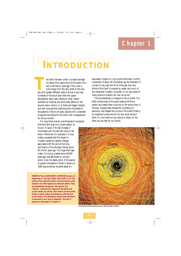*Chapter 1*

# **Introduction INTRODUCTION**

**The Earth has been under a constant barrage of objects from space since its formation for and a half billion years ago. They cover a wide range, from the very small to the very big, with greatly different rates of arrival** of objects from space since its formation four and a half billion years ago.They cover a wide range, from the very small to the very hundreds of tonnes of dust enter the upper atmosphere; every year objects of a few metres diameter do likewise, and some have effects on the ground; every century or so there are bigger impacts; and over long periods, stretching from hundreds of thousands to millions of years, objects with a diameter of several kilometres hit the Earth with consequences for life as a whole.

For long there was an unwillingness to recognise that the Earth was not a closed system on its own in space.The vast increase in knowledge over the last half century has shown otherwise. For example, it is now widely accepted that the impact in Yucatan caused the global changes associated with the end of the long dominance of the dinosaur family, some 65 million years ago.The huge Barringer crater in Arizona, created some 49,000 years ago, was attributed to volcanic action. Even the destruction of thousands of square kilometres of forest in Siberia in 1908 was somehow brushed aside.An

*ORBITS OF ALL NEAR-EARTH ASTEROIDS known at beginning of the year 2000, about 800 in all. The orbits of the asteroids which cross the Earth's orbit (Apollo- and Aten-types) are coloured yellow. They are potentially dangerous. The others, the "Amors", coloured red, approach the Earth but cannot strike our planet. Also shown are the orbits of Mars, Earth, Venus and Mercury, with the Sun at the centre. The illustration shows that the Earth is hemmed in by a sea of asteroids. The risk of impacts is discussed in Chapter 4.*

equivalent impact on a city would eliminate it within a diameter of about 40 kilometres, say the diameter of London's ring road, the M25.Although over twothirds of the Earth is covered by water, and much of the remainder is desert, mountain or ice-cap, traces of many previous impacts can now be found.

This bombardment is integral to life on Earth.The Earth was formed of the same material.Without carbon and water there could be no life as we know it. Periodic impacts have revised the conditions of evolution, and shaped the course of the Earth's history. As a species humans would not now exist without them. On one hand we can rejoice in them; on the other we can fear for our future.



*Scott Manley/Armagh Observatory/Duncan Steel (University of Salford)*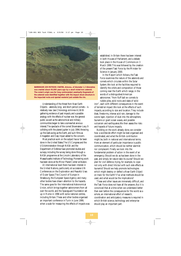

*BARRINGER (OR METEOR) CRATER, Arizona, of diameter 1.2 kilometres was created about 49,000 years ago by a small nickel-iron asteroid. The crater's origin was for long controversial; eventually fragments of the asteroid were identified together with the impact shock structure in the impacted rocks and ejected material just outside the rim.*

Understanding of the threat from Near Earth Objects – asteroids, long- and short-period comets – is relatively new (see Chronology at Annex A).With gathering evidence of past impacts, and a possible analogy with the effects of nuclear war, the general public as well as the astronomical and military communities began to take a somewhat anxious interest.The spectacle of the comet Shoemaker-Levy 9 colliding with the planet Jupiter in July 1994, throwing up fire-balls as big as the Earth, and such films as *Armageddon* and *Deep Impact* added to the concern.

Most practical work on the subject has so far been done in the United States.The US Congress and the US Administration through NASA and the Department of Defense have promoted studies and surveys, including the survey being done through a NASA programme at the Lincoln Laboratory of the Massachusetts Institute of Technology. Pioneering work has been done at the Minor Planet Center at Boston.

At international level there has been interest in the United Nations, particularly at successive UN Conferences on the Exploration and Peaceful Uses of Outer Space.The Council of Europe in Strasbourg, the European Space Agency and many other bodies have drawn attention to the hazards. The same goes for the International Astronomical Union, which brings together astronomers from all over the world, and the Spaceguard Foundation set up in Rome in 1996 with some national centres, including Britain.These and other bodies organised an important conference in Turin in June 1999, when a scale for measuring the effects of impacts was established. In Britain there has been interest in both Houses of Parliament, and a debate took place in the House of Commons on 3 March 1999.This was followed by the creation of the present Task Force by the Minister for Science in January 2000.

In the Report which follows, the Task Force examines the nature of the asteroids and comets which circulate within the Solar System.We look at the facilities required to identify the orbits and composition of those coming near the Earth which range, in the words of a distinguished American astronomer,"from fluff ball ex-comets to rubble piles, solid rocks and slabs of solid

iron", each with different consequences in the event of terrestrial impact.We look at the effects of such impacts, according to size and location.They include blast, firestorms, intense acid rain, damage to the ozone layer, injection of dust into the atmosphere, tsunamis or giant ocean waves, and possible vulcanism and earthquakes.We then assess the risks and hazards of future impacts.

Building on the work already done, we consider how a worldwide effort might be best organised and coordinated, and what the British contribution might be, both in national and international terms. Here an element of particular importance is public communication, which should be neither alarmist nor complacent. Finally we look into the fundamental problem of action in the event of an emergency. Should we do as has been done in the past, and simply let nature take its course? Should we plan for civil defence, trying, for example, to cope not only with direct hits but with such side effects as tsunamis? Should we help promote technologies which might destroy or deflect a Near Earth Object on track for the Earth? If so what methods should be used, and what would be the implications?

These and other issues are immensely difficult, and the Task Force does not have all the answers. But it is convinced that at a time when we understand better than ever before the consequences for the world as a whole, an international effort of research, coordination and anticipatory measures is required in which British science, technology and enterprise should play an important part.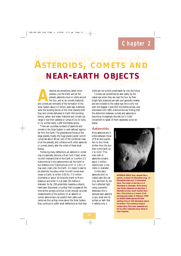# *Chapter 2*

# **and near-earth objects** ASTEROIDS, COMETS AND **ASTEROIDS, COMETS AND NEAR-EARTH OBJECTS**

steroids are sometimes called minor<br>planets. Like the Earth and all the<br>planets, asteroids move in orbits arou<br>the Sun, and so do comets. Asteroids<br>and comets are remnants of the formation of the planets. Like the Earth and all the planets, asteroids move in orbits around the Sun, and so do comets.Asteroids Solar System about 4.5 billion years ago.Asteroids were the building blocks of the inner planets; both they and comets delivered to Earth life's building blocks, carbon and water.Asteroids and comets can range in size from pebbles or lumps of ice, to rocky or icy worlds nearly 1,000 kilometres across.

There are countless numbers of asteroids and comets in the Solar System in well-defined regions far from the Earth.The gravitational forces of the large planets, mostly the huge planet Jupiter (which comprises about 90 per cent of the combined mass of all the planets), and collisions with other asteroids or comets, slowly alter the orbits of these small bodies.

Following many deflections, an asteroid or comet may occasionally become a *Near Earth Object*, when its orbit intersects that of the Earth or is within 0.3 Astronomical Units (astronomers call the Earth to Sun distance one "Astronomical Unit" or 1 AU). It may even crash onto the Earth. An object is said to be *potentially hazardous* when its orbit comes even closer to Earth, to within 0.05 AU (7.5 million kilometres or about 20 times the Earth to Moon distance) and when it is at least 150 metres in diameter. So far, 258 potentially hazardous objects have been discovered, a number that increases all the time as the surveys continue. Given enough accurate measurements of the position of an asteroid or comet, astronomers can predict their paths over centuries. But as they move about the Solar System, they continue to suffer small deflections so that their orbits are not wholly predictable far into the future.

Comets can sometimes be seen easily by the naked eye when they are near the Sun, by their bright tails.Asteroids are dark and generally smaller, and are invisible to the naked eye; this is why not even the biggest, Ceres (933 kilometres across), was discovered until 1801.Astronomers are finding that the distinction between comets and asteroids is becoming increasingly blurred; but it is still convenient to speak of them separately as we do below.

### **Asteroids**

Most asteroids are in orbits between those of Mars and Jupiter, two to four times further from the Sun than is the Earth (or 2 to 4 AU).This main belt of asteroids contains about 1 million objects over 1 kilometre in diameter.

Unlike stars, asteroids emit no visible light.We can only see them by the Sun's reflected light using a powerful telescope; this is because each asteroid is very small and its surface so dark that it reflects only a



*ASTEROID EROS: Eros, shaped like a potato, is about 33 kilometres long, 13 kilometres wide and 13 kilometres thick. The crater at the top is 5.3 kilometres in diameter. Most known near Earth asteroids are less than 1 kilometre across, much smaller than Eros. This picture is a mosaic of six photographs taken in February 2000 by NASA's NEAR spacecraft then orbiting Eros at 200 kilometres above its surface. The numerous impact craters show that even asteroids are hit by other asteroids many times in their histories.*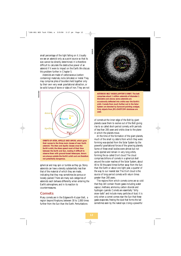small percentage of the light falling on it. Usually we see an asteroid only as a point source so that its size cannot be directly determined. It is therefore difficult to calculate the destructive power of an asteroid if it were to impact on the Earth.We discuss this problem further in Chapter 5.

Asteroids are made of carbonaceous (carbon containing) materials, rocks (silicates) or metal.They may comprise piles of boulders held together only by their own very weak gravitational attraction, or be solid lumps of stone or slabs of iron.They are not



*ORBITS OF ATEN, APOLLO AND AMOR, which gave their names to the three main classes of near Earth asteroid. The Aten and Apollo classes cross the Earth's orbit; the Atens spend most of their time between the Earth and Sun, making it difficult to observe them with ground-based telescopes. Amors are always outside the Earth's orbit and are therefore not potentially dangerous.*

spherical and may spin or tumble as they go. Stony asteroids can have a density substantially less than that of the material of which they are made, indicating that they may sometimes be porous or loosely packed.There are many sub-categories of asteroids: each behaves differently when entering the Earth's atmosphere, and in its reaction to countermeasures.

### **Comets**

Many comets are in the Edgeworth-Kuiper Belt, a region beyond Neptune, between 30 to 1,000 times further from the Sun than the Earth. Perturbations



*ASTEROID BELT INSIDE JUPITER'S ORBIT. The belt comprises about 1 million asteroids of diameter 1 kilometre and above; some asteroids are occasionally deflected into orbits near the Earth's orbit. Comets from much further out in the Solar System are denoted by Sunward-pointing wedges. Only objects from JPL's DASTCOM database are used.*

of comets at the inner edge of the Belt by giant planets cause them to evolve out of the Belt giving rise to so called short-period comets, with periods of less than 200 years and orbits close to the plane in which the planets move.

At the time of the formation of the giant planets, much of the small icy debris from which they were forming was ejected from the Solar System by the powerful gravitational forces of the growing planets. Some of these small bodies were almost but not quite ejected and remain in very long orbits, forming the so-called Oort cloud.The cloud comprises billions of comets in a spherical shell around the outer reaches of the Solar System, about 40 to 50 thousand times further away from the Sun than the Earth or about one light-year, a quarter of the way to our nearest star.The Oort cloud is the source of long-period comets with return times greater than 200 years.

The regions from which comets come are so cold that they still contain frozen gases including water vapour, methane, ammonia, carbon dioxide and hydrogen cyanide. Comets are essentially "dirty snow-balls" and include many particles of dust. It is only when a comet comes near the Sun that these gases evaporate, freeing the dust that forms the tail sometimes seen by the naked eye. Using a powerful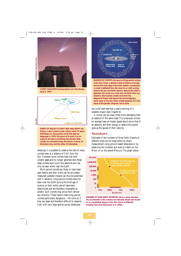

*COMET HALE-BOPP photographed over Stonehenge early in 1997.* 



*ORBITS OF HALLEY'S COMET AND HALE-BOPP: the former, a short period comet, returns every 76 years. Hale-Bopp is a long-period comet first seen by telescopes in 1995; the plane of its orbit is at an angle to the plane containing the planets. Both comets are unusually large: the former is about 10 kilometres long and the latter 40 kilometres.*

telescope, it is possible to observe the tails of many comets even at a distance of 5 AU from the Sun. However, some comets have lost their volatile gases and no longer generate tails; these dead comets look much like asteroids and can only be seen when near the Earth.

Short-period comets are likely to have been seen before and their orbits can be accurately measured; possible impacts can thus be predicted well in advance. Long-period comets have not been near the Earth during the brief age of science, so their orbits cannot have been determined and are therefore impossible to predict. Such comets may arrive from almost any direction.These factors make long-period comets particularly dangerous – the more so if they are dead and therefore difficult to observe. Even with very large special survey telescopes





we could have less than a year's warning of a possible impact (see Chapter 8).

A comet can be many times more damaging than an asteroid of the same mass.This is because comets on average have an impact speed about twice that of an asteroid, and their energy or destructive power goes as the square of their velocity.

### **Numbers**

Estimates of the numbers of Near Earth Objects of different sizes can be made either by direct measurement using ground-based telescopes or by observing the numbers and sizes of craters on the Moon or on the planet Mercury.The graph below



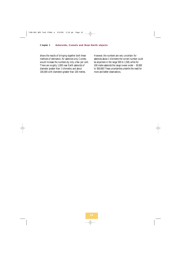shows the results of bringing together both these methods of estimation, for asteroids only. Comets would increase the numbers by only a few per cent. There are roughly 1,000 near Earth asteroids of diameter greater than 1 kilometre, and about 100,000 with diameters greater than 100 metres.

However, the numbers are very uncertain: for asteroids above 1 kilometre the correct number could be anywhere in the range 500 to 1,500, while for 100-metre asteroids the range is even wider – 30,000 to 300,000.These uncertainties underlie the need for more and better observations.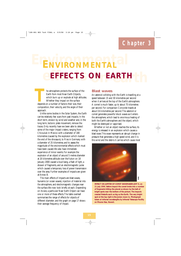# *Chapter 3*

# **effects** Environmental **on earth EFFECTS ON EARTH ENVIRONMENTAL**

**THE ALTER IS THE ATTENT OF THE ALTER IS A THE ATTENT OF THE ATTENT OF THE ATTENT OF THE ATTENT OF THE APPENDICE APPENDICE APPENDICE APPENDICE APPENDICE APPENDICE APPENDICE APPENDICE APPENDICE APPENDICE APPENDICE APPENDICE** Earth from most Near Earth Objects, which burn up or explode at high altitudes. Whether they impact on the surface composition, their velocity, and the angle of their approach.

Unlike some bodies in the Solar System, the Earth carries relatively few scars from past impacts. In the short term, erosion by wind and weather and, in the long term, tectonic plate movement, remove the traces. Only recently have we been able to detect some of the major impact craters, ranging from Chicxulub in Mexico with a diameter of 180 kilometres (caused by the explosion which marked the end of the dinosaurs), to Ries in Germany with a diameter of 25 kilometres; and to assess the magnitude of the environmental effects which must have been caused.We also have immediate experience of minor events. For example the explosion of an object of around 5 metres diameter at 20 kilometres altitude over the Yukon on 18 January 2000 caused a loud bang, a flash of light, a shower of fragments, and an electromagnetic pulse which caused a temporary loss of power transmission over the area. Further examples of impacts are given at Annex B.

The main effects of impacts are blast waves, tsunamis (or ocean waves), injection of material into the atmosphere, and electromagnetic changes near the surface.We now look briefly at each. Depending on its size, a particular Near Earth Object can have one or more of these effects.The table overleaf summarises the range of effects for objects of different diameter; and the graph on page 17 shows their average frequency of impact.

### **Blast waves**

An asteroid colliding with the Earth is travelling at a speed between 15 and 30 kilometres per second when it arrives at the top of the Earth's atmosphere. A comet is much faster, up to about 75 kilometres per second. For comparison Concorde travels at about 0.6 kilometres per second.The asteroid or comet generates powerful shock waves as it enters the atmosphere, which lead to enormous heating of both the Earth's atmosphere and the object, which might be destroyed or vaporised.

Whether or not an object reaches the surface, its energy is released in an explosion which causes a blast wave.This wave represents an abrupt change in pressure that generates a high speed wind, and it is this wind and the debris it carries which cause most



*IMPACT ON JUPITER OF COMET SHOEMAKER-LEVY 9, on 21 July 1994. Before impact the comet broke into a number of fragments hitting the planet as shown by the belt of bright spots near the bottom of the picture. The impacts created fireballs each as big as the Earth. The very bright spot at the top right is the Jovian moon Io. Photograph taken at infrared wavelengths by Infrared Telescope Facility on Mauna Kea, Hawaii.*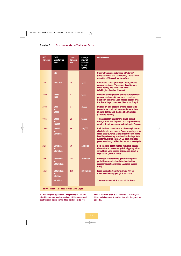| <b>NEO</b><br>diameter | Yield<br>megatonnes<br>$(MT^*)$     | Crater<br>diameter<br>(km) | Average<br>interval<br>between<br>impact<br>(years) | Consequences                                                                                                                                                                                                                                                                                                                         |
|------------------------|-------------------------------------|----------------------------|-----------------------------------------------------|--------------------------------------------------------------------------------------------------------------------------------------------------------------------------------------------------------------------------------------------------------------------------------------------------------------------------------------|
|                        | < 10                                |                            |                                                     | Upper atmosphere detonation of "stones"<br>(stony asteroids) and comets; only "irons" (iron<br>asteroids) <3%, penetrate to surface.                                                                                                                                                                                                 |
| <b>75m</b>             | $\overline{10}$ to $\overline{100}$ | 1.5                        | 1,000                                               | <b>Irons make craters (Barringer Crater); Stones</b><br>produce air-bursts (Tunguska). Land impacts<br>could destroy area the size of a city<br>(Washington, London, Moscow).                                                                                                                                                        |
| <b>160m</b>            | <b>100 to</b><br>1,000              | 3                          | 4,000                                               | Irons and stones produce ground-bursts; comets<br>produce air-bursts. Ocean impacts produce<br>significant tsunamis. Land impacts destroy area<br>the size of large urban area (New York, Tokyo).                                                                                                                                    |
| 350m                   | 1,000<br>to<br>10,000               | 6                          | 16,000                                              | Impacts on land produce craters; ocean-wide<br>tsunamis are produced by ocean impacts. Land<br>impacts destroy area the size of a small state<br>(Delaware, Estonia).                                                                                                                                                                |
| 700m                   | 10,000<br>to<br>100,000             | 12                         | 63,000                                              | Tsunamis reach hemispheric scales, exceed<br>damage from land impacts. Land impacts destroy<br>area the size of a moderate state (Virginia, Taiwan).                                                                                                                                                                                 |
| <b>1.7km</b>           | 100,000<br>to<br>1 million          | 30                         | 250,000                                             | Both land and ocean impacts raise enough dust to<br>affect climate, freeze crops. Ocean impacts generate<br>global scale tsunamis. Global destruction of ozone.<br>Land impacts destroy area the size of a large state<br>(California, France, Japan). A 30 kilometre crater<br>penetrates through all but the deepest ocean depths. |
| 3km                    | 1 million<br>to<br>10 million       | 60                         | 1 million                                           | Both land and ocean impacts raise dust, change<br>climate. Impact ejecta are global, triggering wide-<br>spread fires. Land impacts destroy area size of a<br>large nation (Mexico, India).                                                                                                                                          |
| 7km                    | 10 million<br>to<br>100 million     | 125                        | 10 million                                          | Prolonged climate effects, global conflagration,<br>probable mass extinction. Direct destruction<br>approaches continental scale (Australia, Europe,<br>USA).                                                                                                                                                                        |
| 16 <sub>km</sub>       | 100 million<br>to<br>1 billion      | 250                        | 100 million                                         | Large mass extinction (for example K/T or<br>Cretaceous-Tertiary geological boundary).                                                                                                                                                                                                                                               |
|                        | $>1$ billion                        |                            |                                                     | Threatens survival of all advanced life forms.                                                                                                                                                                                                                                                                                       |

*IMPACT EFFECTS BY SIZE of Near Earth Object*

*\* 1 MT = explosive power of 1 megatonne of TNT. The Hiroshima atomic bomb was about 15 kilotonnes; and the hydrogen device on the Bikini atoll about 10 MT.*

*After D Morrison et al, p 71,* **Hazards** *(T Gehrels, Ed) 1994, including data from Alan Harris in the graph on page 17.*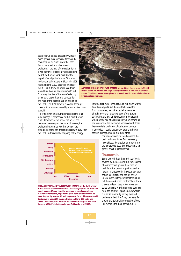*NASA*

destruction.The area affected by winds of much greater than hurricane force can be calculated for air bursts, and it has been found that – as for nuclear weapon explosions – the area of devastation for a given energy of explosion varies according to altitude.The air burst caused by the impact of an object of around 50 metres in diameter at Tunguska in Siberia in 1908 flattened some 2,000 square kilometres of forest. Had it struck an urban area, there would have been an enormous death toll. Obviously the size of the area affected by an air burst depends on the composition and mass of the asteroid and on its path to

the Earth.The 1.2 kilometre diameter Barringer crater in Arizona was created by a similar-sized iron asteroid.

For relatively small surface impact events, blast wave damage is comparable to that caused by air bursts. However, as the size of the object and therefore the energy of the impact increases, the explosion becomes so vast that some of the atmosphere above the impact site is blown away from the Earth. In this way the coupling of the energy







*ASTEROID AND COMET IMPACT CRATERS on far side of Moon, taken in 1969 by NASA's Apollo 11 mission. The large crater (top centre) is about 80 kilometres across. The Moon has no atmosphere to protect it and is constantly bombarded by asteroids and comets.*

into the blast wave is reduced.As a result blast waves from large objects, like the one that caused the Chicxulub event, are not expected to devastate directly more than a few per cent of the Earth's surface, but the area of devastation on the ground would be the size of a large country.The immediate consequence of the blast wave associated with these large events is local – not global scale – damage. Nonetheless it could cause many deaths and great material damage. It could also have other

> consequences which could enhance the death toll many times. For these really large objects, the ejection of material into the atmosphere described below has a far greater effect in global terms.

### **Tsunamis**

Some two-thirds of the Earth's surface is covered by the oceans so that the chances of an impact are greater there than on land.As in the case of impact on land, a "crater" is produced in the water but such craters are unstable and rapidly refill.A 30 kilometre crater penetrates through all but the deepest ocean depths.These flows create a series of deep water waves, socalled tsunamis, which propagate outwards from the point of impact. Such waves are also set in motion by earthquakes and underwater land slips.They can travel far around the Earth with devastating effects. For example the 1960 earthquake in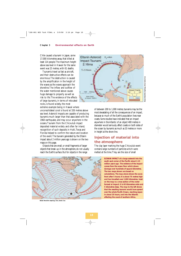Chile caused a tsunami in Japan, some 17,000 kilometres away, that killed at least 114 people.The maximum height above sea level in Hawaii for the same event was 15 metres, with 61 deaths.

Tsunamis travel as fast as aircraft, and their destructive effects can be enormous.The destruction is caused by the amplification in the height of the waves as the waves approach the shoreline.The inflow and outflow of the water mentioned above causes huge damage to property as well as risk to life.The evidence of the effects of large tsunamis, in terms of relocated rocks, is found widely, the most

extreme example being in Hawaii where unconsolidated coral is found at 326 metres above sea level. Asteroid impacts are capable of producing tsunamis much larger than that associated with the 1960 earthquake, and may occur anywhere in the oceans.Tsunami from the Chicxulub impact deposited material widely and often far inland; recognition of such deposits in Haiti,Texas and Florida helped to confirm the nature and location of the event.The tsunami generated by the Eltanin impact about 2 million years ago is shown on the two maps on this page.

Objects that are small, or small fragments of larger objects that break up in the atmosphere, do not usually reach the Earth's surface. But for objects in the range



*Steven Ward/Eric Asphaug, UCal, Santa Cruz*



of between 200 to 1,000 metres, tsunamis may be the most devastating of all the consequences of an impact, because so much of the Earth's population lives near coasts. Some studies have indicated that an impact anywhere in the Atlantic of an object 400 metres in diameter would seriously affect coasts on both sides of the ocean by tsunamis as much as 10 metres or more in height at the shore line.

## **Injection of material into the atmosphere**

The clay layer marking the huge Chicxulub event contains large numbers of particles which were melted at the time.They are the size of small

> *ELTANIN IMPACT of a large asteroid into the south east corner of the Pacific about 2.15 million years ago. The evidence of the impact comes from the ocean floor which shows damage over hundreds of square kilometres. The two maps shown are based on calculations. The map above shows the wave front after 5 hours; it is about 70 metres high and has travelled over 2,000 kilometres. Inset on the map is a cross section of the crater formed at impact: it is 60 kilometres wide and 5 kilometres deep. The map to the left shows that the resulting tsunami would have spread over the whole Pacific Ocean, reaching Japan in about 20 hours, and into the Atlantic affecting the coast of southern Africa.*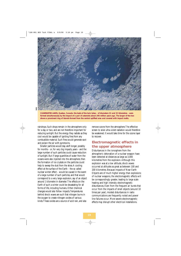

*CLEARWATER LAKES, Quebec, Canada: the beds of the twin lakes – of diameters 22 and 32 kilometres – were formed simultaneously by the impact of a pair of asteroids about 290 million years ago. The larger of the two shows a prominent ring of islands formed from the central uplifted area and covered with impact melts.*

raindrops. Such drops remain in the atmosphere only for a day or two, and are not therefore important for reducing sunlight. But the energy they radiate as they cool would be capable of igniting fires from any combustible material. Such fires would generate soot and poison the air with pyrotoxins.

Smaller particles would stay aloft longer, possibly for months - or, for very big impacts, years - and the large number of such particles could cause reduction of sunlight. But if large quantities of water from the oceans were also injected into the atmosphere, then the formation of ice crystals on the particles could help to sweep the dust from the skies.A cooling effect at the surface of the Earth - the so called nuclear winter effect - would be caused in the event of a large number of such particles, and that would correspond to a very large explosion, say of an object around 1 kilometre in diameter.The effects on the Earth of such a winter could be devastating for all forms of life, including humans. Other chemical changes would also follow impacts.Temperatures behind shock waves are such that nitrogen burns in the oxygen to create nitrogen oxides of various kinds.These oxides are a source of acid rain, and also

remove ozone from the atmosphere.The effective screen to solar ultra-violet radiation would therefore be weakened. It would take time for the ozone layer to recover.

## **Electromagnetic effects in the upper atmosphere**

Disturbances in the ionosphere from the atmospheric detonation of a nuclear weapon have been detected at distances as large as 3,000 kilometres from the explosion. Although this explosion was at a low altitude, shock waves occurred at altitudes as great as between 100 and 200 kilometres. Because impacts of Near Earth Objects are of much higher energy than explosions of nuclear weapons, the electromagnetic effects will be correspondingly greater, leading to large scale heating and high intensity electromagnetic disturbances. Even from the frequent air bursts that occur from the impacts of small objects (around 10 times per year), modest disturbances in radio communications are frequently noted and power line failures occur. More severe electromagnetic effects may disrupt other electrical installations.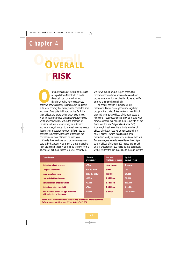# *Chapter 4*

# **risk** O **OVERAL OVERALL RISK**

Ur understanding of the risk to the Earth<br>
of impacts from Near Earth Objects<br>
depends in part on which of two<br>
situations obtains. For objects whose<br>
orbits we know accurately in advance, we can predict of impacts from Near Earth Objects depends in part on which of two situations obtains. For objects whose with some accuracy (for many years to come) the time and place of any potential impact on the Earth. For these objects, the future is thus largely determined, with little statistical uncertainty. However, for objects yet to be discovered (for which the orbits are by definition unknown) we must rely on a statistical approach. Here, all we can do is to estimate the average frequency of impact for objects of different size, as described in Chapter 2; for none of these can the precise time or place of impact be anticipated.

Clearly, the objective should be to move as many potentially hazardous Near Earth Objects as possible from the second category to the first: to move from a situation of statistical chance to one of certainty, in

which we should be able to plan ahead. Our recommendations for an advanced observational programme, to which we give the highest scientific priority, are framed accordingly.

The present position is as follows. From measurements over recent years, made largely by groups in the United States, we know the orbits of over 400 Near Earth Objects of diameter above 1 kilometre.These measurements allow us to state with some confidence that none of these is likely to hit the Earth over the next 50 years (see Annex B-3). However, it is estimated that a similar number of objects of this size have yet to be discovered. For smaller objects - which can also cause great destruction locally or regionally - we know even less. For example, we have discovered fewer than 10 per cent of objects of diameter 300 metres, and a much smaller proportion of 100 metre objects. Specifically, we believe that the aim should be to measure over the

| Type of event                                                              | <b>Diameter</b><br>of impactor | Average<br>fatalities per impact | <b>Typical</b><br>interval (years) |
|----------------------------------------------------------------------------|--------------------------------|----------------------------------|------------------------------------|
| High atmospheric break-up                                                  | < 50m                          | close to zero                    | frequent                           |
| Tunguska-like events                                                       | $50m$ to $300m$                | 5.000                            | 250                                |
| Large sub-global event                                                     | 300m to 1.5km                  | 500,000                          | 25.000                             |
| Low global effect threshold                                                | >600m                          | 1.5 billion                      | 70.000                             |
| Nominal global effect threshold                                            | $>1.5$ km                      | 1.5 billion                      | 500,000                            |
| High global effect threshold                                               | >5km                           | 1.5 billion                      | 6 million                          |
| Rare K/T scale events (of type associated<br>with extinction of dinosaurs) | $>10$ km                       | 6 billion                        | 100 million                        |

*ESTIMATED FATALITIES for a wide variety of different impact scenarios (after Chapman & Morrison, 1994, Nature 367, 33)*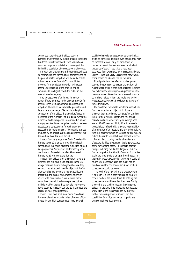coming years the orbits of all objects down to diameters of 300 metres, by the use of larger telescopes than those currently employed.These observations would also improve our statistical knowledge of the diminishing population of objects as yet undiscovered.

Through this programme, and through studying, as we recommend, the consequences of impacts and of the possibilities for mitigation, we should be able to make more accurate forecasts.This would also provide a firm foundation on which to increase general understanding of the problem and to communicate intelligently with the public in the event of a real emergency.

The consequences of an impact in terms of human life are estimated in the table on page 20 for different kinds of impact, assuming no attempt at mitigation.The results are inevitably speculative, and depend on a wide range of factors including the composition of the object; this range is reflected in the spread of the numbers. For sub-global events, the number of fatalities expected in an individual impact is highly variable. Once the global threshold has been exceeded, the consequences for each event are expected to be more uniform. The material damage produced by an impact and the consequences of that damage have been less well studied.

Impacts from very large Near Earth Objects with diameters over 10 kilometres would have global consequences that could cause the extinction of most living organisms. Such events are fortunately very rare. Impacts of objects from a few kilometres in diameter to 10 kilometres are also rare.

Impacts from objects with diameters of around 1 kilometre can also have global consequences. On average these are the most dangerous because they are much more frequent than the objects of the 10 kilometre class and give many more casualties per impact than the smaller ones. Impacts of smaller objects, with diameters of a few hundred metres, would have dramatic local consequences, but are unlikely to affect the Earth as a whole. For objects below about 50 metres in size the Earth's atmosphere usually provides good protection.

Impacts from mid-sized Near Earth Objects are thus examples of an important class of events of low probability and high consequence.There are wellestablished criteria for assessing whether such risks are to be considered tolerable, even though they may be expected to occur only on time-scales of thousands, tens of thousands or even hundreds of thousands of years.These criteria have been developed from experience by organisations like the British Health and Safety Executive to show when action should be taken to reduce the risks.

Flood protection, the safety of nuclear power stations, the storage of dangerous chemicals or of nuclear waste are all examples of situations in which rare failures may have major consequences for life or the environment. Once the risk is assessed, plans can be made to reduce it from the intolerable to the lowest reasonably practical levels taking account of the costs involved.

If a quarter of the world's population were at risk from the impact of an object of 1 kilometre diameter, then according to current safety standards in use in the United Kingdom, the risk of such casualty levels, even if occurring on average once every 100,000 years, would significantly exceed a tolerable level. If such risks were the responsibility of an operator of an industrial plant or other activity, then that operator would be required to take steps to reduce the risk to levels that were deemed tolerable.

For an island country, the risks from tsunami effects are significant because of the large target area of the surrounding ocean. The western coast of Europe, including the United Kingdom, is at risk from an impact in the Atlantic Ocean or North Sea, as also are New Zealand or Japan from impacts in the Pacific Ocean. Destruction to property could of course be on a massive scale, and might not be avoidable, and the consequent social and political consequences could be severe.

The level of the risk to life and property from Near Earth Objects is largely related to what we choose to do in the future. If we do nothing, the consequences would be as described here. But by discovering and tracking most of the dangerous objects (at the same time improving our statistical knowledge of the remainder), and by studying further the consequences of impacts and the possibilities for mitigation, we can hope to exert some control over future events.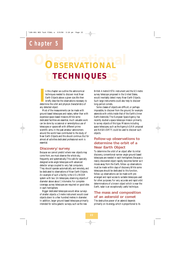# *Chapter 5*

# t TECHNIQUES S **Observational OBSERVATIONAL TECHNIQUES**

In this chapter we outline the astronomical<br>
techniques needed to discover most Near<br>
Earth Objects above a given size. We then<br>
briefly describe the observations necessary t<br>
determine the orbit and physical characteristi n this chapter we outline the astronomical techniques needed to discover most Near Earth Objects above a given size.We then briefly describe the observations necessary to any detected object.

Most of the measurements can be made with ground-based telescopes and radars, rather than with expensive space-based missions.While some dedicated facilities are essential, much valuable work can be done by occasional or serendipitous use of telescopes or spacecraft with different prime scientific aims. In the past amateur astronomers around the world have contributed to the study of Near Earth Objects and this should continue. But for almost all activities dedicated professional work is essential.

### **Discovery/survey**

Because we cannot predict where new objects may come from, we must observe the whole sky, frequently and systematically.This calls for specially designed wide-angle telescopes with advanced detector arrays coupled to very fast computers. They should operate automatically and remotely, and be dedicated to observations of Near Earth Objects. An example of such a facility is the US LINEAR system with two 1m telescopes, observing objects of diameter above about 1 kilometre. For complete coverage, survey telescopes are required on good sites in each hemisphere.

Bigger dedicated telescopes would allow surveys of smaller objects: a 3 metre instrument would cover objects down to a few hundred metres in diameter. In addition, larger ground-based telescopes primarily intended for extra-galactic surveys, such as the new

British 4 metre VISTA instrument and the 6.5 metre survey telescope proposed in the United States, would inevitably detect many Near Earth Objects. Such large instruments could also help to discover long-period comets.

Some classes of objects are difficult, or perhaps impossible, to discover from the ground, for example asteroids with orbits inside that of the Earth's (Inner Earth Asteroids).The European Space Agency has recently studied a space-telescope mission primarily to survey objects of this type. Missions including space telescopes, such as the Agency's GAIA proposal and NASA's SIRTF, could be used to discover such objects.

## **Follow-up observations to determine the orbit of a Near Earth Object**

To determine the orbit of an object after its initial discovery, conventional narrow-angle ground-based telescopes are needed in each hemisphere. Because a newly discovered object rapidly becomes fainter as it moves away from the Earth, follow-up observations must be made within days of discovery.While some telescopes should be dedicated to this function, follow-up observations can be made with prearranged and rapid access to suitable telescopes used for other purposes. For very accurate and rapid orbit determinations of a known object which is near the Earth, radar is an exceptionally useful technique.

## **The mass and composition of an asteroid or comet**

The destructive power of an asteroid depends primarily on its energy, which is proportional to its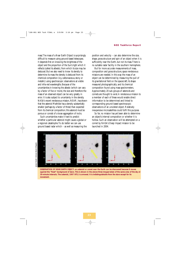mass.The mass of a Near Earth Object is surprisingly difficult to measure using ground-based telescopes. It depends first on knowing the brightness of the object and the proportion of the Sun's light which it reflects (called its albedo), from which its size may be deduced. But we also need to know its density to determine its mass: the density is deduced from its chemical composition (icy, carbonaceous, stony or metallic) using spectroscopic observations at visible and infra-red wavelengths. Because of the uncertainties in knowing the albedo (which can vary by a factor of five or more), the size and therefore the mass of an observed object can be very greatly in error. It is also subject to uncertainty in the density. NASA's recent rendezvous mission, NEAR, has shown that the asteroid Mathilde has a density substantially smaller (perhaps by a factor of three) than expected from its chemical composition; this asteroid must be porous or consist of a loose aggregation of rocks.

Such uncertainties make it hard to predict whether a particular asteroid might cause a global or a regional catastrophe.To do better we can use ground based radar which – as well as measuring the

position and velocity – can also determine the size, shape, gross structure and spin of an object when it is sufficiently near the Earth, but not its mass.There is no suitable radar facility in the southern hemisphere.

But for more accurate measurements of mass, composition and gross structure, space rendezvous missions are needed. In this way the mass of an object can be determined by measuring the pull of its gravitational field on the spacecraft; its shape measured photographically; and its chemical composition found using mass spectrometers. Approximately 20 sub-groups of asteroids and comets are thought to exist.A rendezvous mission to a member of each of these would enable direct information to be determined and linked to corresponding ground-based spectroscopic observations of an unvisited object. Relatively inexpensive microsatellites could fulfil this purpose.

So far, no mission has yet been able to determine an object's internal composition or whether it is hollow. Such an observation will be attempted on a comet by NASA's Deep Impact mission to be launched in 2004.



*OBSERVATION OF NEAR EARTH OBJECT: an asteroid or comet near the Earth can be discovered because it moves against the "fixed" background of stars. This is shown in the above three images taken of the same area of the sky at 30-minute intervals. The asteroid, 1997 XF11 is arrowed. It is indistinguishable from the stars except for its movement.*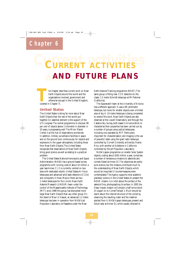# **and future plans AND FUTURE PLANS** CURRENT ACTIVITIES<sup>S</sup> **CURRENT ACTIVITIES**

his chapter describes current work on Near<br>Earth Objects around the world and the<br>organisations involved, government and<br>otherwise (except in the United Kingdom,<br>covered in Chapter 7). Earth Objects around the world and the organisations involved, government and otherwise (except in the United Kingdom, covered in Chapter 7).

### **United States**

The United States is doing far more about Near Earth Objects than the rest of the world put together.An essential element is the support of the US Congress.The central programme, to discover 90 per cent of objects above 1 kilometre in diameter in 10 years, is progressing well.The Minor Planet Center is at the hub of observations worldwide. In addition, military surveillance facilities in space and on the ground look continuously for objects and explosions in the upper atmosphere, including those from Near Earth Objects.The United States recognises that observations of Near Earth Objects bring good science as well as relating to a practical problem.

The United States National Aeronautics and Space Administration (NASA) has a ground-based survey programme with running costs of about \$3 million a year (see Annex C). It is currently centred on two sites with dedicated robotic United States Air Force telescopes and advanced solid state detectors (CCDs) and computers. In New Mexico there are two 1 metre telescopes for the Lincoln Near-Earth Asteroid Research (LINEAR) team under the control of the Massachusetts Institute of Technology (MIT); since 1998 this group has discovered more large Near Earth Objects than any other group. On the island of Maui in Hawaii, an advanced 1.2 metre telescope has been in operation from NASA's Jet Propulsion Laboratory at Pasadena under the Near

Earth Asteroid Tracking programme (NEAT).The same group is fitting new CCD detectors to the classic 1.2 metre Schmidt telescope at Mt Palomar (California).

The Spacewatch team at the University of Arizona has a different approach: it uses a 90 centimetre telescope, but looks for smaller objects over a limited area of sky.A 1.8 metre telescope is being completed to extend this work. Near Earth Objects are also observed at the Lowell Observatory and through the Catalina Sky Survey, both based in Arizona.Work to characterise their properties has been carried out by a number of groups using optical telescopes, including one operated by MIT. Particularly important for characterisation and imaging is the use of powerful radar using the giant radio telescope controlled by Cornell University at Arecibo, Puerto Rico, with another at Goldstone in California controlled by the Jet Propulsion Laboratory.

NASA's space programme on smaller Solar System objects, costing about \$100 million a year, comprises a number of rendezvous missions to asteroids and comets (listed at Annex D).The objectives are partly pure science, but the missions contribute much to the understanding of Near Earth Objects, which would be important if countermeasures were contemplated.The Agency supports most academic planetary science in the United States.At present the NEAR mission is in orbit above the surface of the asteroid Eros, photographing its surface. In 2005 the Deep Impact mission will project a half-tonne block of copper on to Comet Tempel 1. Much should be learnt about the internal structure of the comet by observing the resulting crater and the material ejected from it. NASA's space telescopes, present and future (also at Annex D), while usually directed to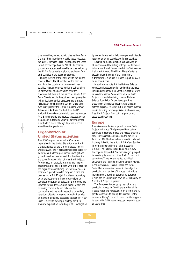other objectives, are also able to observe Near Earth Objects.These include the Hubble Space Telescope, the Next Generation Space Telescope and the Space Infra-Red Telescope Facility (SIRTF). In addition ground- and space-based surveillance observations by the US Air Force regularly pick up explosions from small asteroids in the upper atmosphere.

During the visit of the Task Force to the United States in March, NASA emphasised the need for work by other countries to complement their activities, mentioning three particular points; followup observations of objects which are often discovered but then lost; the search for smaller Near Earth Objects; and, in the southern hemisphere, the lack of dedicated optical telescopes and planetary radar. NASA emphasised the value of plates taken over many years by the United Kingdom Schmidt Telescope in Australia. For the future, the US National Science Foundation told us of the proposal for a 6.5 metre wide-angle survey telescope, which would be of outstanding value for surveying small Near Earth Objects, although its prime purpose would be extra-galactic work.

### **Organisation of United States activities**

The US Congress has named NASA to be responsible in the United States for Near Earth Objects, assisted by the United States Air Force. Within NASA, the Headquarters is responsible for soliciting and selecting all science investigations, ground-based and space-based, for the detection and scientific exploration of Near Earth Objects; for guidance on strategic planning and mission selection; and for coordination with other agencies and organisations including international ones. In addition, a specially created Program Office has been set up at NASA's Jet Propulsion Laboratory to co-ordinate ground-based observations to complete the survey of objects of 1 kilometre and upwards; to facilitate communications within the observing community and between the community and the public regarding potentially hazardous objects; to respond to public inquiries; to maintain a publicly accessible catalogue of Near Earth Objects; to develop a strategy for their scientific exploration including *in situ* investigation

by space missions, and to help Headquarters in its role regarding other US agencies and foreign activities.

Essential to the coordination and archiving of observations, and the setting of targets for follow-up, is the Minor Planet Center based at the Smithsonian Institute at Harvard.The Minor Planet Center is broadly under the wing of the International Astronomical Union and is funded in part by NASA on an annual basis.

In addition we note that the National Science Foundation is responsible for funding basic science including astronomy in universities except for work in planetary science. Some work on Near Earth Objects is nonetheless being done on National Science Foundation funded telescopes.The Department of Defense does not have planetary defence as part of its remit. But in its normal defence role in detecting incoming missiles, it observes many Near Earth Objects from both its ground- and space-based platforms.

### **Europe**

There is no coordinated approach to Near Earth Objects in Europe.The Spaceguard Foundation continues to promote interest and helped organise a major international conference on the subject in Turin in 1999.The Foundation is based in Italy, and is closely linked to the Istituto di Astrofisica Spaziale in Rome, supported by the Italian Research Council.The Institute is building a small survey telescope in Italy, and at Pisa there is a group expert in planetary dynamics and Near Earth Object orbit calculations.There are also related activities in universities and institutes including some in France, Germany, Sweden, Finland, Greece and former Soviet Union countries. Interest in the subject is developing in a number of European institutions, including the Council of Europe.The European Union and its Commission have no formal policy on Near Earth Objects at present.

The European Space Agency has a direct and developing interest. In 2003 it plans to launch its Rosetta mission to rendezvous with a comet and fly past two asteroids, following its successful Giotto mission to Halley's comet. It is also considering plans to launch the GAIA space telescope mission in about 10 years' time.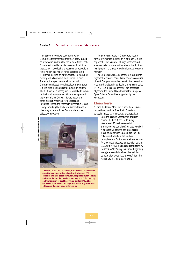In 1999 the Agency's Long Term Policy Committee recommended that the Agency should be involved in studying the threat from Near Earth Objects and possible countermeasures. In addition the Agency is developing a statement of its possible future role in this respect for consideration at a Ministerial meeting on future strategy in 2001.This meeting will also involve the European Union. Recently, the Agency's operations centre in Germany conducted several studies on Near Earth Objects with the Spaceguard Foundation of Italy. The first was for a Spaceguard Central Node, a datacentre for follow-up observations to complement the Minor Planet Center.A further study was completed early this year for a Spaceguard Integrated System for Potentially Hazardous Object Survey, including the study of a space telescope for observing objects in inner Earth orbits, and each object's composition.



*1 METRE TELESCOPE OF LINEAR, New Mexico. The telescope, one of two on the site, is equipped with advanced CCD detectors and high speed computers. It operates automatically and sends data to the Lincoln Laboratory at MIT for checking and transmission to the Minor Planet Center. LINEAR has discovered more Near Earth Objects of diameter greater than 1 kilometre than any other system so far.*

The European Southern Observatory has no formal involvement in work on Near Earth Objects at present. It has a number of large telescopes and advanced detectors on excellent sites in the Southern hemisphere.The United Kingdom is not at present a member.

The European Science Foundation, which brings together the research councils and science academies of most European countries, has activities relevant to Near Earth Objects: in particular a programme called IMPACT on the consequences of the impacts of objects on the Earth.Also relevant is the European Space Science Committee, supported by the Foundation.

### **Elsewhere**

Outside the United States and Europe there is some ground-based work on Near Earth Objects, in particular in Japan, China, Canada and Australia. In

> Japan the Japanese Spaceguard Association operates the Bisei Center with survey telescopes of 50 centimetres and of 1 metre (not yet completed) for observing both Near Earth Objects and also space debris which might threaten Japanese satellites.The only current activity in the southern hemisphere is in Australia where there are plans for a 0.6 metre telescope for operation early in 2001, with NASA funding and participation by the Catalina Sky Survey in Arizona. Regarding space, Japanese missions have observed the comet Halley; so too have spacecraft from the former Soviet Union, see Annex D.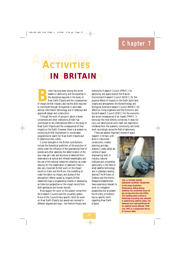*Chapter 7*

# **in Britain Activities ACTIVITIES IN BRITAIN**

ritain has long been among the world<br>
leaders in astronomy, and has expertise in<br>
the disciplines required in the study of<br>
Near Earth Objects and the consequence:<br>
of impact. British industry also has the skills required leaders in astronomy, and has expertise in the disciplines required in the study of Near Earth Objects and the consequences to contribute through its expertise in solid state devices, information technology, and in telescope and spacecraft design and construction.

Through the work of groups in about a dozen universities and other institutions, Britain has contributed to the international effort in the study of Near Earth Objects and the consequences of their impacts on the Earth. However, there is at present no continuing British involvement in coordinated programmes to search for Near Earth Objects and to determine their orbits.

Current strengths in the British contributions include the theoretical prediction of the evolution of orbits under the influence of the gravitational field of planets and other asteroids, the determination of the size, mass, spin rate, and structure of asteroids from observations at optical and infrared wavelengths, and the use of the national meteorite collection as a data resource for the classification of asteroids.There is also very important British work on the impact record on Earth and the Moon, the modelling of crater formation by impact, and studies of the atmospheric effects caused by impacts. British researchers have a longstanding interest in developing an historical perspective on the impact record from both geological and human records.

Most support for work on the subject comes from the Research Councils and the university system. None of the Councils has a specific remit for work on Near Earth Objects, but several are involved in different degrees and ways – the Particle Physics and

Astronomy Research Council (PPARC) for astronomy and space science; the Natural Environment Research Council (NERC) for the physical effects of impacts on the Earth (solid land, oceans and atmosphere); the Biotechnology and Biological Sciences Research Council (BBSRC) for effects on living organisms; and the Economic and Social Research Council (ESRC) for the economic and social consequences of an impact. PPARC is obviously the most directly concerned. It does not carry out astronomical work itself, but responds to initiatives from the academic community and funds work accordingly across the field of astronomy.

There are several important centres of space

research in Britain, with skills in instrument construction, mission planning and data analysis. Closely allied are centres of space engineering, both in industry, national institutes and universities, particularly in the field of small satellite technology, and in planetary landing devices.The Ministry of Defence and the Atomic Weapons Establishment have experience relevant to work on mitigation possibilities, but at present the Ministry of Defence has no specific remit regarding Near Earth Objects.



*THE 1.2 METRE UNITED KINGDOM SCHMIDT TELESCOPE at the Anglo-Australian Observatory, Siding Spring, Australia has conducted many allsky surveys since the mid-1990s. The resulting plate archive at Edinburgh is proving very valuable in determining asteroid orbits. The telescope was used specifically for an asteroid survey between 1990 and 1992 in a programme led by Dr Duncan Steel.*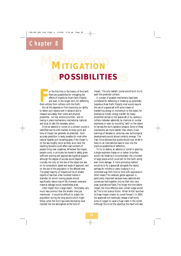# *Chapter 8*

# **ppossibilities Mitigation MITIGATION POSSIBILITIES**

or the first time in the history of the Earth there are possibilities for mitigating the effects of impacts by Near Earth Objects and even, in the longer term, for deflecting them entirely from collision with the Earth.

But all this depends on first improving our ability to detect such objects well in advance and to measure accurately their orbits and physical properties - our key science priorities - and on having in place mechanisms, international, national and local, to take the necessary action.

Once an asteroid or comet on a collision course is identified and its orbit tracked, its likely point and time of impact can generally be predicted. Such accurate prediction is rarely possible for most other natural hazards, such as earthquakes. If the impact is on the sea, roughly twice as likely as on land, the resulting tsunamis could affect vast numbers of people living near coastlines. Wherever the impact, people could, in principle, be moved to safety, given sufficient warning and appropriate logistical support, although the degree of success would depend crucially not only on the size of the object but also on its composition, speed and angle of approach, and on the size of the population in the affected area. The great majority of impacts will be of smaller objects of less than a few hundred metres in diameter, for which moving people should significantly reduce loss of life. However, extensive material damage would nevertheless arise.

After impact from a large object - fortunately very much less common than the smaller ones just mentioned - it would be difficult to sustain the population during the long period which might follow when the Sun's rays were blocked by dust injected into the atmosphere at the time of

impact. The only realistic course would be to try to avert the predicted collision.

A number of possible mechanisms have been considered for deflecting or breaking up potentially hazardous Near Earth Objects; most would require the use of a spacecraft with some means of transferring energy or momentum to the object, for example by kinetic energy transfer (by heavy projectiles carried on the spacecraft or by causing a collision between asteroids), by chemical or nuclear explosives, or even by mounting "sails" on the object to harness the Sun's radiation pressure. Some of these mechanisms are more realistic than others. Given warnings of decades or centuries, new technological developments would almost certainly emerge. The Task Force believes that studies should now be set in hand on an international basis to look into the practical possibilities of deflection.

To try to destroy an asteroid or comet in space by a single explosive charge on or below its surface would risk breaking it uncontrollably into a number of large pieces which could still hit the Earth, doing even more damage. A more promising method would be to fly a spacecraft alongside the object, perhaps for months or years, nudging it in a controlled way from time to time with explosives or other means.This relatively gentle approach is particularly important because many asteroids and comets are held together only by their own very weak gravitational fields.The longer the time before impact, the more effective even a small nudge would be.This is not science fiction. When NASA launches its Deep Impact mission to comet Tempel 1 in 2004, the spacecraft will eventually release a half tonne lump of copper to cause a huge crater in the comet. Although this is not the objective, the result will also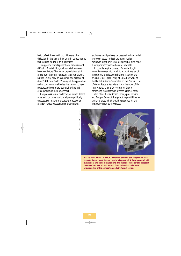be to deflect the comet's orbit. However, the deflection in this case will be small in comparison to that required to deal with a real threat.

Long period comets present new dimensions of difficulty. By definition, such comets have never been seen before.They come unpredictably at all angles from the outer reaches of the Solar System, but can usually only be seen when at a distance of about 5 AU from Earth. Warning of the approach of such a body could well be less than a year. Urgent measures and even more powerful rockets and explosives would then be essential.

Any proposal to use nuclear explosives to deflect an asteroid or comet could well prove politically unacceptable in a world that seeks to reduce or abandon nuclear weapons, even though such

explosives could probably be designed and controlled to prevent abuse. Indeed, the use of nuclear explosives might only be contemplated as a last resort if a major impact were otherwise inevitable.

In considering the prospects for deflection, it would be necessary to take into account a range of international treaties and principles including the original Outer Space Treaty of 1967.The work of the United Nations Committee on the Peaceful Uses of Outer Space is also relevant as is the work of the Inter-Agency Debris Co-ordination Group, comprising representatives of space agencies of the United States, Russia, China, India, Japan, Ukraine and Europe. Some of this group's responsibilities are similar to those which would be required for any impacts by Near Earth Objects.



*NASA'S DEEP IMPACT MISSION, which will project a 500 kilogramme solid impactor into a comet, Temple 1 (artist's impression). A flyby spacecraft will take images and make measurements. The impactor will also take images of the comet's surface prior to impact. The mission aims to increase understanding of the composition and structure of comets.*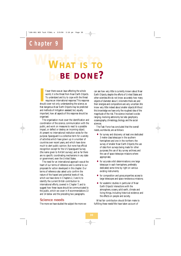# *Chapter 9*

# **beE DONE?** WWHAT is the **WHAT IS TO**

**I** f ever there was an issue affecting the whole world, it is the threat from Near Earth Objection To understand and try to cope with the threat requires an international response. This responshould cover not only underst f ever there was an issue affecting the whole world, it is the threat from Near Earth Objects. To understand and try to cope with the threat requires an international response.This response that dangerous Near Earth Objects may be predicted and methods of mitigation assessed; but, equally important, how all aspects of this response should be organised.

The organisation must cover the identification and coordination of the science, communication with the public, and work on measures to react to a possible impact, or deflect or destroy an incoming object. At present no international institution exists for the purpose. Spaceguard is a collective term for a variety of activities which have grown up in a number of countries over recent years, and which have done much to alert public opinion. But none has official recognition except for the US Spaceguard Survey (the name given to NASA's survey), and so far there are no specific coordinating mechanisms in any state or government, even the United States.

The need for an international approach was at the heart of our terms of reference and is central to our proposals for action developed in this chapter. Our terms of reference also asked us to confirm the nature of the hazard and potential levels of risk, which we have done in Chapters 2, 3 and 4; to identify the current British contribution to international efforts, covered in Chapter 7; and to suggest how these issues should be communicated to the public, which we cover in Recommendations 13 and 14 below and the preceding two paragraphs.

### **Science needs**

The more we have studied the subject the more we

can see how very little is currently known about Near Earth Objects, despite the efforts of United States and other scientists.We do not know accurately how many objects of diameter about 1 kilometre there are; and their energies and compositions are very uncertain.We know very little indeed about smaller objects.Without this knowledge we have only the roughest idea of the magnitude of the risk.The science involved is wideranging, involving astronomy but also geophysics, oceanography, climatology, biology and the social sciences.

The Task Force has concluded that the overall needs, worldwide, are as follows:

- for survey and discovery: at least one dedicated 3 metre-class telescope in the southern hemisphere and one in the northern; the survey of smaller Near Earth Objects; the use of data from surveys being made for other purposes; the use of sky survey archives; and the use of space telescope missions where appropriate;
- for accurate orbit determinations: one large telescope in each hemisphere, preferably dedicated; some time by right on various existing instruments;
- for composition and gross properties: access to large telescopes and space rendezvous missions;
- for academic studies: in particular of Near Earth Objects' interactions with the atmosphere, oceans, solid earth, climate and living things, including historical evidence; and the effects on people and society.

What fair contribution should Britain make to fulfilling these needs? We have taken account of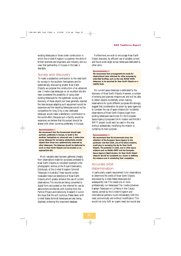existing telescopes or those under construction in which the United Kingdom is a partner; the skills of British scientists and engineers, and industry; and our view that partnership in Europe in this task is desirable.

### Survey and discovery

To make a substantial contribution to the need both for surveys in the southern hemisphere and for systematically discovering smaller Near Earth Objects, we propose the construction of an advanced new 3 metre-class telescope on an excellent site.We have considered the possibility of using older existing telescopes for the systematic survey and discovery of these objects, but have generally rejected the idea because adapting such equipment would be expensive and the resulting telescopes would not be competitive for long. Only a new dedicated telescope would make a satisfactory contribution to the world effort. Because such a facility would be expensive, we believe that this project should be shared with other countries, preferably in Europe.

### *Recommendation 1*

*We recommend that the Government should seek partners, preferably in Europe, to build in the southern hemisphere an advanced new 3 metre-class survey telescope for surveying substantially smaller objects than those now systematically observed by other telescopes. The telescope should be dedicated to work on Near Earth Objects and be located on an appropriate site.*

Much valuable data has been gathered cheaply from observations made for purposes unrelated to Near Earth Objects.An excellent example is the photographic archive, at the Royal Observatory Edinburgh, of the United Kingdom Schmidt Telescope in Australia.These records contain invaluable historical detections of Near Earth Objects which greatly enhance the use of current observations.The records are being converted to digital form and posted on the internet for use by astronomers worldwide, with funding from the Particle Physics and Astronomy Research Council. We hope that this will continue. Plates taken with United States Schmidt telescopes are also being digitised, widening this important database.

Furthermore, we wish to encourage Near Earth Object discovery by efficient use of suitable current and future wide-angle survey telescopes dedicated to other aims.

*Recommendation 2* 

*We recommend that arrangements be made for observational data obtained for other purposes by wide-field facilities, such as the new British VISTA telescope, to be searched for Near Earth Objects on a nightly basis.*

No current space telescope is dedicated to the discovery of Near Earth Objects. However, a number of existing and planned missions are, and will be, able to detect objects incidentally when making observations for quite different purposes.We strongly suggest that consideration be given by space agencies to consider the use of space missions for incidental observations of Near Earth Objects.Apart from existing telescopes (see Annex D), the European Space Agency's proposed GAIA mission and NASA's SIRTF project could each be used in this way without substantially modifying the mission or curtailing its main purpose.

#### *Recommendation 3*

*We recommend that the Government draw the attention of the European Space Agency to the particular role that GAIA, one of its future missions, could play in surveying the sky for Near Earth Objects. The potential in GAIA, and in other space missions such as NASA's SIRTF and the European Space Agency's BepiColombo, for Near Earth Object research should be considered as a factor in defining the missions and in scheduling their completion.*

### Accurate orbit determination

A particularly urgent requirement is for observations to determine the orbits of Near Earth Objects discovered by United States telescopes but subsequently lost.This needs one or more professionally run telescopes.The l metre Johannes Kapteyn Telescope on La Palma in the Canary Islands, owned by the United Kingdom and international partners, could immediately fulfil this need, economically and without modification.This would not only fulfil an urgent need, but would also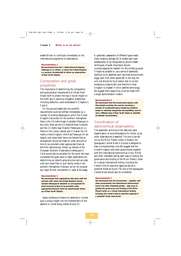enable Britain to contribute immediately to the international programme of observations.

*Recommendation 4*

*We recommend that the 1 metre Johannes Kapteyn Telescope on La Palma, in which the United Kingdom is a partner, be dedicated to follow-up observations of Near Earth Objects.*

### Composition and gross properties

The importance of determining the composition and gross physical characteristics of a Near Earth Object both to predict the way it would impact on the Earth and in planning mitigation possibilities including deflection, were emphasised in Chapters 2, 5 and 8.

On the ground-based side, the scientific requirements could be fulfilled immediately by a number of existing telescopes to which the United Kingdom has access. For the southern hemisphere there is the 3.9 metre Anglo-Australian Telescope; in the north there are the 4.2 metre William Herschel and the 2.5 metre Isaac Newton Telescopes on La Palma in the Canary Islands, and in Hawaii the 3.8 metre United Kingdom Infra-Red Telescope.All are heavily over-subscribed; hence we believe that an arrangement should be made for small amounts of time to be provided under appropriate financial terms for spectroscopic follow-up. Several of the European Southern Observatory's telescopes in Chile would also be excellent for this work.We have considered the great value of radar observations for determining an object's gross structure and accurate orbit and noted that no such facility exists in the southern hemisphere. However, we do not propose any major British involvement in radar at this stage.

#### *Recommendation 5*

*We recommend that negotiations take place with the partners with whom the United Kingdom shares suitable telescopes to establish an arrangement for small amounts of time to be provided under appropriate financial terms for spectroscopic followup of Near Earth Objects.*

Space rendezvous missions to asteroids or comets give a unique insight into the characteristics of the asteroid or comet being visited (Annex D).

A systematic assessment of different types needs many missions, perhaps 20, to enable each type subsequently to be recognised by ground-based techniques, of great importance should countermeasures be needed. For this limited purpose it might be possible to use a series of essentially identical micro satellites, each launched economically piggy-back with other spacecraft; in this way the unit cost should be much below that of current rendezvous missions.We note that the United Kingdom is a leader in micro satellite technology. We suggest that a beginning could be made with a single demonstration mission.

#### *Recommendation 6*

*We recommend that the Government explore, with like-minded countries, the case for mounting a number of coordinated space rendezvous missions based on relatively inexpensive microsatellites, each to visit a different type of Near Earth Object to establish its detailed characteristics.*

### Coordination of astronomical observations

The systematic archiving of the data and rapid dissemination of recommendations for follow-up by other observatories is essential.This role is carried out by the Minor Planet Center in Boston; the Spaceguard Central Node in Europe is designed to have a complementary role.We suggest that the United Kingdom and other governments, together with the International Astronomical Union, NASA and other interested parties, seek ways of putting the governance and funding of the Minor Planet Center on a robust international footing, including the Center's links to executive agencies should a potential threat be found.The role of the Spaceguard Central Node should also be considered.

#### *Recommendation 7*

*We recommend that the Government – together with other governments, the International Astronomical Union and other interested parties – seek ways of putting the governance and funding of the Minor Planet Center on a robust international footing. including the Center's links to executive agencies if a potential threat were found.*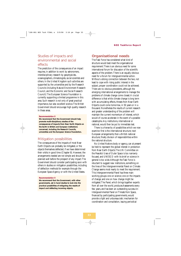### Studies of impacts and environmental and social effects

The prediction of the consequences of an impact requires, in addition to work by astronomers, interdisciplinary research by geophysicists, oceanographers, climatologists, social scientists and others. In the United Kingdom such activities are supported by the universities and by the Research Councils (including Natural Environment Research Council, and the Economic and Social Research Council).The European Science Foundation is currently supporting a limited programme in this area. Such research is not only of great practical importance, but also excellent science.The British Government should encourage high quality research in these areas.

#### *Recommendation 8*

*We recommend that the Government should help promote multi-disciplinary studies of the consequences of impacts from Near Earth Objects on the Earth in British and European institutions concerned, including the Research Councils, universities and the European Science Foundation.*

### Mitigation possibilities

The consequences of the impacts of most Near Earth Objects can probably be mitigated, or the objects themselves deflected, if we have determined their orbits in good time (Chapter 8). However, the arrangements needed are not simple and should be planned well before the prospect of any impact.The Government should consider participating soon with others in studies on mitigation possibilities, including of deflection methods for example through the European Space Agency or with the United States.

### *Recommendation 9*

*We recommend that the Government, with other governments, set in hand studies to look into the practical possibilities of mitigating the results of impact and deflecting incoming objects.*

### **Organisational needs**

The Task Force has considered what kind of structure would best meet the organisational requirement.There is an obvious need for some international forum for discussion of the scientific aspects of the problem.There is an equally obvious need for a forum for intergovernmental action. Without a strong connection between the two, not least to cope with rising public interest in the subject, proper coordination could not be achieved. There are no obvious precedents, although the emerging international arrangements to manage the problems of climate change come closest.A crucial difference is that while climate change is long term with accumulating effects, threats from Near Earth Objects could come tomorrow, in 50 years or in a thousand. Nonetheless the results of current research and greater understanding of the problem will maintain the current momentum of interest, which would of course accelerate in the event of a possible catastrophe.Any institutions, international or national, would then be put to immediate test.

There is a hierarchy of possibilities which we now examine: first is the international structure; next European arrangements; then a British national structure; finally division of responsibilities within the national structure.

No United Nations body or agency, can at present be held to represent the global interest in protection from Near Earth Objects.The UN Committee on the Peaceful Uses of Outer Space is too narrowly focused, and UNESCO with its brief on science in general is too wide.Although the Task Force is reluctant to suggest new institutions, something on the lines of the Intergovernmental Panel on Climate Change seems most nearly to meet the requirement. This Intergovernmental Panel has three main working groups: one on science; one on the impacts of change; and one on how change might be mitigated.The Panel, which brings together experts from all over the world, produces Assessments every few years, and has been an outstanding success.An Intergovernmental Panel on Threats from Space, financed by participating governments, would provide a light and unbureaucratic mechanism for coordination and consultation, issuing periodical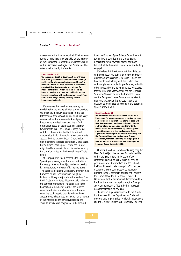Assessments as the situation required.Whether more formal arrangements were desirable, on the analogy of the Framework Convention on Climate Change with its successive meetings of the Parties, could be determined in the light of events.

### *Recommendation 10*

*We recommend that the Government urgently seek with other governments and international bodies (in particular the International Astronomical Union) to establish a forum for open discussion of the scientific aspects of Near Earth Objects, and a forum for international action. Preferably these should be brought together in an international body. It might have some analogy with the Intergovernmental Panel on Climate Change, thereby covering science, impacts, and mitigation.*

We recognise that interim measures may be needed before the integrated international structure we prefer could be fully established. In this, the International Astronomical Union, which is already doing much on the science side, should play an important role. Indeed, we expect that a final organisation based on the structure of the Inter-Governmental Panel on Climate Change would wish to continue to involve the International Astronomical Union. Regarding inter-governmental aspects, the Inter-Agency Debris Coordination group (covering the space agencies of United States, Russia, China, India, Japan, Ukraine and Europe) might be able to contribute; and for certain aspects, the UN Committee on the Peaceful Uses of Outer Space.

At European level (see Chapter 6), the European Space Agency among other European institutions has already taken up the subject and could develop its interest further on behalf of its member states. The European Southern Observatory, of which most European countries are members, though not Britain, could play a major role in the study of Near Earth Objects with its facilities on excellent sites in the Southern hemisphere.The European Science Foundation, which brings together the research councils and science academies of most European countries, could help to provide and coordinate across Europe a broad base for research on all aspects of the impact problem, physical, biological and social. It already has a programme in the area and

funds the European Space Science Committee with strong links to scientists in the United States. Because the threat covers all aspects of life, we believe that the European Union should also be fully engaged.

We believe that the Government should discuss with other governments how Europe could best coordinate actions regarding Near Earth Objects, and how best to work closely with the United States, with complementary roles in specific areas, and with other interested countries.As a first step we suggest that the European Space Agency and the European Southern Observatory, with the European Union and the European Science Foundation, be asked to propose a strategy for this purpose. It could be discussed at the ministerial meeting of the European Space Agency in 2001.

#### *Recommendation 11*

*We recommend that the Government discuss with like-minded European governments how Europe could best contribute to international efforts to cope with Near Earth Objects, coordinate activities in Europe, and work towards becoming a partner with the United States, with complementary roles in specific areas. We recommend that the European Space Agency and the European Southern Observatory, with the European Union and the European Science Foundation, work out a strategy for this purpose in time for discussion at the ministerial meeting of the European Space Agency in 2001.*

At national level no central coordinating body for Near Earth Objects has yet been formally identified within the government. In the event of any emergency, possible or real, virtually all parts of government would be involved, and the Cabinet itself would have to determine policy.This suggests that some Cabinet committee or *ad hoc* group, bringing in the Department of Trade and Industry, the Home Office, the Ministry of Defence, the Department for the Environment, Transport and the Regions, the Ministry of Agriculture, the Foreign and Commonwealth Office and other interested departments should be envisaged.

The interim responsibility rests with the Minister for Science within the Department of Trade and Industry, covering the British National Space Centre and the Office of Science and Technology.The Task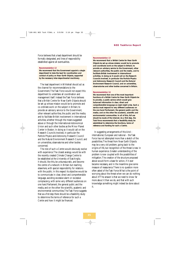Force believes that a lead department should be formally designated, and lines of responsibility established against all eventualities.

#### *Recommendation 12*

*We recommend that the Government appoint a single department to take the lead for coordination and conduct of policy on Near Earth Objects, supported by the necessary inter-departmental machinery.*

The lead department in Whitehall should act as the channel for recommendations to the Government,The Task Force would not expect this department to undertake all coordination and management itself. Instead the Task Force believes that a British Centre for Near Earth Objects should be set up whose mission would be to promote and co-ordinate work on the subject in Britain; to provide an advisory service to the Government, other relevant authorities, the public and the media; and to facilitate British involvement in international activities, whether through the means suggested above or through the International Astronomical Union and such other bodies as the Minor Planet Center in Boston. In doing so it would call on the Research Councils involved, in particular the Particle Physics and Astronomy Research Council and the Natural Environment Research Council, and on universities, observatories and other bodies concerned.

The role of such a Centre would obviously evolve with experience.The closest analogy would be with the recently created Climate Change Centre to be established at the University of East Anglia. It should, like this, be unbureaucratic, and become the centre of a network in Britain but reaching elsewhere, with special responsibility for relations with the public. In this respect its objective would be to communicate in clear, direct and comprehensible language, avoiding excessive alarm or excessive complacency, with some very different audiences: on one hand Parliament, the general public and the media, and on the other the scientific, academic and environmental communities.The Task Force suggests that as a first step there should be a feasibility study to determine the terms of reference for such a Centre and how it might be financed.

#### *Recommendation 13*

*We recommend that a British Centre for Near Earth Objects be set up whose mission would be to promote and coordinate work on the subject in Britain; to provide an advisory service to the Government, other relevant authorities, the public and the media, and to facilitate British involvement in international activities. In doing so it would call on the Research Councils involved, in particular the Particle Physics and Astronomy Research Council and the Natural Environment Research Council, and on universities, observatories and other bodies concerned in Britain.*

#### *Recommendation 14*

*We recommend that one of the most important functions of a British Centre for Near Earth Objects be to provide, a public service which would give balanced information in clear, direct and comprehensible language as need might arise. Such a service must respond to very different audiences: on the one hand Parliament, the general public and the media; and on the other the academic, scientific and environmental communities. In all of this, full use should be made of the Internet. As a first step, the Task Force recommends that a feasibility study be established to determine the functions, terms of reference and funding for such a Centre.*

In suggesting arrangements of this kind – international, European and national – the Task Force has not attempted more than a sketch of the possibilities.The threat from Near Earth Objects may be a very old problem, going back to the origins of life, but recognition of the threat is new in human experience. Greater understanding of the problem is now coupled with the possibilities of mitigation.The creation of the structure proposed above would form a base for action, if it ever became necessary, and in the meantime give some measure of reassurance.There is no question more often asked of the Task Force:What is the point of worrying about the threat when we can do nothing about it? The answer is that we need to know far more about it than we do, and that with such knowledge something might indeed be done about it.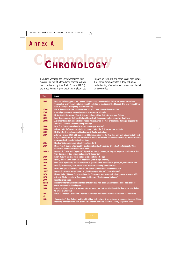# *Annex A*

# C CHRONOLOGY **CHRONOLOGY**

4.5 billion years ago the Earth was formed from material like that of asteroids and comets; and has been bombarded by Near Earth Objects (NEOs) ever since.Annex B gives specific examples of past impacts on the Earth and some recent near misses. This annex summarises the history of human understanding of asteroids and comets over the last three centuries.

| Year    | Event                                                                                                                                                                                                 |
|---------|-------------------------------------------------------------------------------------------------------------------------------------------------------------------------------------------------------|
| 1694    | Edmond Halley suggests that cometary impacts may have caused global catastrophes, formed the                                                                                                          |
|         | Caspian Sea as an impact crater, and might be linked to the biblical flood legend. This idea revived from<br>time to time (for example by William Whiston)                                            |
| 1790s   | Pierre Simon de Laplace suggests comet impacts cause terrestrial catastrophes                                                                                                                         |
| 1794    | Chladni proposes that meteorites are of extra-terrestrial origin                                                                                                                                      |
| 1801    | First asteroid discovered (Ceres); discovery of more Main Belt asteroids soon follows                                                                                                                 |
| 1822    | Lord Byron suggests that mankind could save itself from comet collisions by diverting them                                                                                                            |
| 1890s   | Alexander Bickerton suggests that impacts have sculpted the face of the Earth. Barringer suggests the                                                                                                 |
|         | "Meteor" Crater in Arizona is of impact origin                                                                                                                                                        |
| 1898    | Eros, first Earth-approacher discovered (Amor-type asteroid)                                                                                                                                          |
| 1930s   | Odessa crater in Texas shown to be an impact crater: the first proven case on Earth                                                                                                                   |
| 1932    | First two Earth-crossing asteroids discovered, Apollo and Adonis                                                                                                                                      |
| 1937    | Asteroid Hermes (1937 UB), size about 800 metres, observed for few days only as it misses Earth by just                                                                                               |
|         | 670,000 kilometres (60 per cent further than Moon). Insufficient data to secure orbit, so Hermes is lost; it                                                                                          |
|         | may come back close to Earth at any time                                                                                                                                                              |
| 1941    | Fletcher Watson estimates rate of impacts on Earth                                                                                                                                                    |
| 1947    | Minor Planet Center established by the International Astronomical Union (IAU) in Cincinnati, Ohio;<br>moves to Cambridge Massachusetts, 1978                                                          |
| 1948-51 | Edgeworth (1948) and Kuiper (1951) predicted belt of comets, just beyond Neptune, much nearer Sun<br>than Oort cloud. Now known as Edgeworth-Kuiper Belt                                              |
| 1949    | Ralph Baldwin explains lunar craters as being of impact origin                                                                                                                                        |
| 1949    | Icarus, a close Earth-approacher discovered (Apollo-type asteroid)                                                                                                                                    |
| 1950    | Oort cloud hypothesis; billions of comets in spherical shell around solar system, 50,000 AU from Sun                                                                                                  |
| 1951    | Ernst Öpik (Armagh), after earlier work, estimates cratering rates on Earth                                                                                                                           |
| 1954    | First Aten-type "Inner-Earth" asteroid discovered (1954XA) but subsequently lost                                                                                                                      |
| c.1960  | Eugene Shoemaker proves impact origin of Barringer (Meteor) Crater (Arizona)                                                                                                                          |
| 1970    | Eleanor Helin (JPL) and Eugene and Carolyn Shoemaker start systematic photographic survey of NEOs                                                                                                     |
| 1973    | Arthur C Clarke coins term Spaceguard in his novel "Rendezvous with Rama"                                                                                                                             |
| 1979    | <b>Film Meteor released</b>                                                                                                                                                                           |
| before  | Nuclear winter calculations in context of full nuclear war: subsequently realised to be applicable to                                                                                                 |
| 1980    | consequences of an NEO impact                                                                                                                                                                         |
| 1980    | Alvarez et al propose that a massive asteroid impact led to the extinction of the dinosaurs. Later linked<br>to event at Chicxulub                                                                    |
| 1981    | NASA conference: Collision of Asteroids and Comets with Earth: Physical and Human consequences                                                                                                        |
| July    |                                                                                                                                                                                                       |
| 1981    | "Spacewatch": Tom Gehrels and Bob McMillan, University of Arizona, began programme to survey NEOs<br>including small asteroids, with electronic detection and data collection. Survey began late 1988 |
|         |                                                                                                                                                                                                       |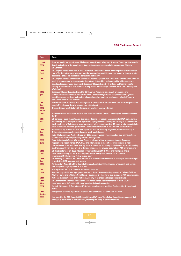| Year         | Event                                                                                                                                                                                                        |
|--------------|--------------------------------------------------------------------------------------------------------------------------------------------------------------------------------------------------------------|
| 1990         | Duncan Steel's survey of asteroids begins using United Kingdom Schmidt Telescope in Australia                                                                                                                |
| 1990         | American Institute of Aeronautics and Astronautics makes recommendations concerning NEOs to                                                                                                                  |
|              | <b>US Congress</b>                                                                                                                                                                                           |
| 1990         | US Congress House committee in NASA Multiyear Authorisation Act of 1990: "imperative that detection                                                                                                          |
| Sept         | rate of Earth-orbit-crossing asteroids must be increased substantially, and that means to destroy or alter<br>the orbits should be defined and agreed internationally"                                       |
| 1991         | US Congress House Committee on Science and Technology use NASA Authorisation Bill to direct NASA to                                                                                                          |
|              | study 1) a programme to increase detection rate of Earth-orbit-crossing asteroids, addressing costs,                                                                                                         |
|              | schedule, technology, and equipment (Spaceguard Survey Report); 2) systems and technologies to                                                                                                               |
|              | destroy or alter orbits of such asteroids if they should pose a danger to life on Earth (NEO Interception<br>Workshop)                                                                                       |
| 1992         | Spaceguard Survey Report delivered to US Congress. Recommends a search programme and                                                                                                                         |
| Jan          | international collaboration to find greater than 1 kilometre objects; and the provision of six ground                                                                                                        |
|              | based telescopes, northern and southern hemisphere sites, southern hemisphere radar; half costs to                                                                                                           |
|              | come from international partners                                                                                                                                                                             |
| 1992<br>Jan  | NEO Interception Workshop. Full investigation of counter-measures concluded that nuclear explosives in<br>stand-off mode most likely to succeed (see 1991 above)                                             |
| 1992         | Three witnesses testify before US Congress on results of above workshops                                                                                                                                     |
| <b>March</b> |                                                                                                                                                                                                              |
| 1993         | European Science Foundation initiates new scientific network "Impact Cratering and Evolution of Planet                                                                                                       |
|              | Earth"                                                                                                                                                                                                       |
| 1994<br>Feb  | US Congress House Committee on Science and Technology pass an amendment to NASA Authorisation<br>Bill directing NASA to report within a year with a programme to identify and catalogue, with help from      |
|              | the Department of Defense and space agencies of other countries, within 10 years, orbital characteristics                                                                                                    |
|              | of all comets and asteroids greater than 1 kilometre diameter and in an orbit that crosses Earth's                                                                                                           |
| 1994         | Shoemaker-Levy 9 comet collides with Jupiter. At least 21 cometary fragments, with diameters up to                                                                                                           |
| July<br>1994 | 2 kilometres, cause massive explosions and spark public interest<br>IAU's 22nd Assembly's Working Group on NEOs, present a report recommending that an international                                         |
|              | authority should take responsibility for NEO investigations                                                                                                                                                  |
| 1995         | Near Earth Objects Survey Workgroup Report is released with a programme to meet Congress'                                                                                                                    |
| <b>June</b>  | requirements. Recommends NASA, USAF and international collaboration; two dedicated 2 metre<br>discovery telescopes; use of two existing 1 metre telescopes for survey and follow-up; enhanced funding        |
|              | to obtain roughly half time on a 3 to 4 metre telescopes for physical observation; MPC enhancements                                                                                                          |
| 1995         | UN host conference on NEOs attended by representatives of UN Office of Outer Space Affairs                                                                                                                   |
| 1995         | IAU's Working Group on NEOs workshop sets up the Spaceguard Foundation to promote                                                                                                                            |
| 1996         | international NEO discovery, follow-up and study<br>UN meeting in Colombo, Sri Lanka, resolves that an international network of telescopes under UN aegis                                                    |
| Jan          | is needed for NEO searching and tracking                                                                                                                                                                     |
| 1996         | Parliamentary Assembly of the Council of Europe, Resolution 1080, detection of asteroids and comets                                                                                                          |
|              | that are potentially dangerous to mankind                                                                                                                                                                    |
| 1997         | Spaceguard UK set up to promote British NEO activities                                                                                                                                                       |
| 1998         | Two new major NEO search programmes start in United States using Department of Defense facilities:<br>NEAT in Hawaii and LINEAR in New Mexico - see Annex C - leading to step-increase in NEO discovery rate |
| 1998         | National Research Council of US National Academy of Sciences: highest priorities to NEOs                                                                                                                     |
| 1998         | US Congressional Hearings on NEOs and Planetary Defense. Recommends use of more GEODSS                                                                                                                       |
| May          | telescopes, states difficulties with using already existing observatories                                                                                                                                    |
| 1998         | NASA NEO Program Office set up at JPL to help coordinate and provide a focal point for US studies of<br><b>NEOs</b>                                                                                          |
| 1998         | Armageddon and Deep Impact films released, both about NEO collisions with the Earth                                                                                                                          |
| Jul-Aug      |                                                                                                                                                                                                              |
| 1999         | In a report to the ESA Council at Ministerial level, ESA's Long Term Policy Committee recommend that                                                                                                         |
|              | the Agency be involved in NEO activities, including the study of countermeasures                                                                                                                             |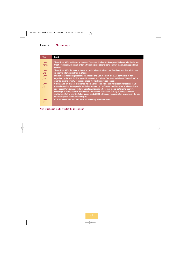### *Annex A* **Chronology**

| Year                 | Event                                                                                                                                                                                                                                                                                                                                                                                                                                                      |
|----------------------|------------------------------------------------------------------------------------------------------------------------------------------------------------------------------------------------------------------------------------------------------------------------------------------------------------------------------------------------------------------------------------------------------------------------------------------------------------|
| 1999<br><b>March</b> | Threat from NEOs is debated in House of Commons. Minister for Energy and Industry, John Battle, says<br>that Government will consult British astronomers and other experts on ways the UK can support NEO                                                                                                                                                                                                                                                  |
|                      | research                                                                                                                                                                                                                                                                                                                                                                                                                                                   |
| 1999                 | Threat from NEOs discussed in House of Lords. Science Minister, Lord Sainsbury, says that Britain must                                                                                                                                                                                                                                                                                                                                                     |
| <b>June</b>          | co-operate internationally on this topic                                                                                                                                                                                                                                                                                                                                                                                                                   |
| 1999                 | International Monitoring Programs for Asteroid and Comet Threat (IMPACT) conference in Italy                                                                                                                                                                                                                                                                                                                                                               |
| <b>June</b>          | organised by the IAU, the Spaceguard Foundation and others. Outcomes include the "Torino Scale" to<br>describe risk and severity of possible impact for newly discovered objects                                                                                                                                                                                                                                                                           |
| 1999                 | UNISPACE III, a UN Space conference, hold a workshop on NEOs and make recommendations to UN                                                                                                                                                                                                                                                                                                                                                                |
| July                 | General Assembly. Subsequently, resolution adopted by conference, the Vienna Declaration on Space<br>and Human Development, declares a strategy including actions that should be taken to improve<br>knowledge of NEOs; improve international coordination of activities relating to NEOs; harmonise<br>worldwide effort to identify, follow up and predict NEO orbits; and research safety measures on the use<br>of nuclear power sources in outer space |
| 2000<br>Jan          | UK Government sets up a Task Force on Potentially Hazardous NEOs                                                                                                                                                                                                                                                                                                                                                                                           |

*More information can be found in the Bibliography*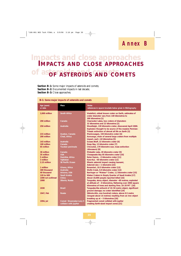# *Annex B*

# **of asteroids and comets OF ASTEROIDS AND COMETS Impacts and close approaches IMPACTS AND CLOSE APPROACHES**

**Section B-1:** Some major impacts of asteroids and comets; **Section B-2:** Documented impacts in last decade; **Section B-3:** Close approaches.

| <b>B-1:</b> Some major impacts of asteroids and comets |  |  |  |
|--------------------------------------------------------|--|--|--|
|--------------------------------------------------------|--|--|--|

| Age (years)<br>or date | Place                             | <b>Notes</b><br>references in square brackets below given in Bibliography                            |
|------------------------|-----------------------------------|------------------------------------------------------------------------------------------------------|
| 2,000 million          | <b>South Africa</b>               | Vredefort, oldest known crater on Earth, estimates of<br>crater diameter vary from 140 kilometres to |
|                        |                                   | 300 kilometres [1]                                                                                   |
| 290 million            | Canada                            | Clearwater Lakes, two craters of diameters                                                           |
|                        |                                   | 32 kilometres and 22 kilometres [2]                                                                  |
| 250 million            | Australia                         | Woodleigh, 130 kilometre crater, discovered April 2000.                                              |
|                        |                                   | Explosion thought to be source of the massive Permian-                                               |
|                        |                                   | Triassic extinction of almost all life on Earth [3]                                                  |
| 215 million            | Quebec, Canada                    | Manicouagan, 150 kilometre crater [4]                                                                |
| 200 million            | Chad, Africa                      | Aorounga, chain of several large craters from multiple                                               |
|                        |                                   | impact, each >10 kilometres [5]                                                                      |
| 143 million            | <b>Australia</b>                  | Gosses Bluff, 22 kilometre crater [6]                                                                |
| 100 million            | Canada                            | Deep Bay, 13 kilometre crater [7]                                                                    |
| 65 million             | Yucatan peninsula                 | Chicxulub, 170 kilometre scar, mass extinction                                                       |
|                        |                                   | (dinosaurs) [8]                                                                                      |
| 38 million             | Canada                            | Mistastin Lake, 28 kilometre crater [9]                                                              |
| 35 million             | <b>USA</b>                        | Chesapeake Bay 85 kilometre crater [10]                                                              |
| 5 million              | Namibia, Africa                   | Roter Kamm, ~3 kilometre crater [11]                                                                 |
| 3 million              | Tajikistan                        | Kara-Kul, ~50 kilometre crater [12]                                                                  |
| 2.15 million           | <b>SE Pacific Ocean</b>           | Eltanin asteroid impact causing tsunami,                                                             |
| 1 million              |                                   | Asteroid size > 1 kilometre [22]                                                                     |
| 300 thousand           | Ghana, Africa<br><b>Australia</b> | Bosumtwi, 10.5 kilometre crater [13]<br>Wolfe Creek, 0.9 kilometre crater [14]                       |
| 49 thousand            | Arizona, USA                      | Barringer or "Meteor" Crater, 1.2 kilometre crater [15]                                              |
| 120 to 600             | Saudi Arabia                      | Wabar Craters in Empty Quarter of Saudi Arabia [17]                                                  |
| 1490 not confirmed     | China                             | About 10,000 people reported killed [16]                                                             |
| 1908                   | Siberia, Russia                   | Tunguska, stony object, diameter ~60 metres, exploded                                                |
|                        |                                   | at altitude of ~ 8 kilometres, flattening over 2000 square                                           |
|                        |                                   | kilometres of trees and starting fires. 10-20 MT [18]                                                |
| 1930                   | <b>Brazil</b>                     | Tunguska-like airburst of 10-50 metre object, significant                                            |
|                        |                                   | ground damage; no crater identified [19]                                                             |
| 1947, Feb              | <b>Russia</b>                     | Sikhote-Alin, one hundred craters, above 0.5 metre                                                   |
|                        |                                   | (longest about 14 metres) resulting from an iron object                                              |
|                        |                                   | breaking up at $\sim$ 5 kilometres [20]                                                              |
| 1994, Jul              | Comet Shoemaker-Levy 9            | Fragmented comet collided with Jupiter                                                               |
|                        | collision with Jupiter            | creating Earth-sized impact zones [21]                                                               |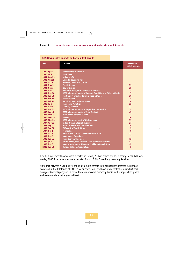| <b>Date</b>  | Location                                                    | Diameter of                |
|--------------|-------------------------------------------------------------|----------------------------|
|              |                                                             | object (metres)            |
| 1990, Apr 7  | Netherlands (house hit)                                     |                            |
| 1990, Jul 2  | Zimbabwe                                                    |                            |
| 1991, Aug 31 | Indiana, USA                                                |                            |
| 1992, Aug14  | Uganda (building hit)                                       |                            |
| 1992, Oct 9  | Peekskill, New York (car hit)                               |                            |
| 1994, Nov 1  | <b>Pacific Ocean</b>                                        | 39                         |
| 1994, Nov 3  | <b>Bay of Bengal</b>                                        | 15                         |
| 1994, Dec 7  | Fort McMurray/Fort Chipewyan, Alberta                       | 3                          |
| 1994, Dec 16 | 1000 kilometres south of Cape of Good Hope at 30km altitude | $\overline{7}$             |
| 1995, Jan 18 | Northern Mongolia. 25 kilometres altitude                   | 10                         |
| 1995, Feb 16 | <b>Pacific Ocean</b>                                        | 8                          |
| 1995, Feb 16 | Pacific Ocean (10 hours later)                              | $\overline{4}$             |
| 1995, Jul 7  | <b>Near New York City</b>                                   | $12 \overline{ }$          |
| 1995, Dec 9  | Cuenca, Ecuador                                             | 11                         |
| 1995, Dec 22 | 1500 kilometres south of Argentina (Antarctica)             | >2                         |
| 1996, Jan 15 | 2000 kilometres south of New Zealand                        | >3                         |
| 1996, Mar 26 | West of the coast of Mexico                                 | 3                          |
| 1996, Mar 29 | <b>Hawaii</b>                                               | 10                         |
| 1996, Mar 30 | 1000 kilometres west of Chilean coast                       | 11                         |
| 1997, Apr 27 | Indian Ocean, West of Australia                             | 27                         |
| 1997, Sep 5  | South of Mauritius, Indian Ocean                            | 14                         |
| 1997, Sep 30 | Off coast of South Africa                                   | 5                          |
| 1997, Oct 1  | Mongolia                                                    | 8                          |
| 1997, Oct 9  | Near El Paso, Texas. 36 kilometres altitude                 | $>12$                      |
| 1997, Dec 9  | Near Nuuk, Greenland                                        | $\boldsymbol{\mathcal{P}}$ |
| 1998, Jan 11 | Near Denver, Colorado                                       | >2                         |
| 1999, Jul 7  | North Island, New Zealand. 28.8 kilometres altitude         | >2                         |
| 1999, Dec 5  | Near Montgomery, Alabama. 23 kilometres altitude            | >2                         |
| 2000, Jan 18 | Yukon, 25 kilometres altitude                               | 5                          |
|              |                                                             |                            |

### **B-2:** *Documented impacts on Earth in last decade*

The first five impacts above were reported in Lewis J S, *Rain of Iron and Ice*, Reading, Mass, Addison-Wesley, 1996.The remainder were reported from US Air Force Early Warning Satellites.

Note that between August 1972 and March 2000, sensors in these satellites detected 518 impact events, all in the kilotonne of TNT class or above (objects above a few metres in diameter); this averages 30 events per year. Most of these events were primarily bursts in the upper atmosphere and were not detected at ground level.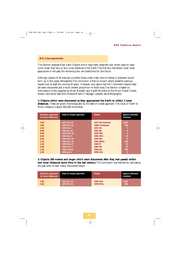### **B-3:** *Close approaches*

This Section analyses Near Earth Objects which have been observed over recent years to have come closer than two or four lunar distances of the Earth.The first two lists below cover close approaches in the past; the remaining two are predictions for the future.

Although objects of all sizes are included, those under a few tens of metres in diameter would burn up in the upper atmosphere.The conclusion is that no known object presents a serious hazard over at least the coming 50 years. However, only about half the 1 kilometre objects have yet been discovered and a much smaller proportion of small ones.The Section is based on information kindly supplied by Brian Marsden and Gareth Williams of the Minor Planet Center, Boston (and some data from Andrea Milani's "riskpage" website, see Bibliography).

### **1: Objects which were discovered as they approached the Earth to within 2 lunar**

distances. These are given chronologically by the date of closest approach. The lunar, or Earth to Moon, distance is about 400,000 kilometres.

| Minimum approach<br>(in lunar distances) | Date of closest approach | Object           | approx diameter<br>(metres) |
|------------------------------------------|--------------------------|------------------|-----------------------------|
| 1.96                                     | 1937 Oct 30              | 1937 UB (Hermes) | 1,000                       |
| 1.84                                     | 1989 Mar 22              |                  | 300                         |
|                                          |                          | (4581) Asclepius |                             |
| 1.24                                     | 1991 Dec 5               | 1991 VG          |                             |
| 0.44                                     | 1991 Jan 18              | 1991 BA          | 6                           |
| 0.40                                     | 1993 May 20              | 1993 KA2         | 6                           |
| 0.28                                     | 1994 Dec 9               | 1994 XM1         | 10                          |
| 0.44                                     | 1994 Mar 15              | 1994 ES1         | 8                           |
| 1.92                                     | 1994 Nov 24              | 1994 WR12        | 200                         |
| 1.16                                     | 1995 Mar 27              | 1995 FF          | 20                          |
| 2.00                                     | 1995 Oct 17              | 1995 UB          | 10                          |
| 1.20                                     | 1996 May19               | 1996 JA1         | 300                         |
| 1.32                                     | 2000 Jun 2               | <b>2000 LG6</b>  | 6                           |

### **2: Objects 200 metres and larger which were discovered after they had passed within two lunar distances some time in the last century.** This conclusion was reached by calculating the past orbit of each newly discovered object.

| Minimum approach<br>(in lunar distances) | Date of closest approach | Object    | approx diameter<br>(metres) |
|------------------------------------------|--------------------------|-----------|-----------------------------|
| 1.80                                     | 1975 Jan. 31             | 1998 DV9  | 1.000                       |
| 1.56                                     | 1982 Oct 21              | 1999 VP11 | 800                         |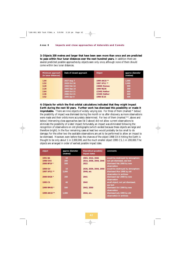**3: Objects 200 metres and larger that have been seen more than once and are predicted to pass within four lunar distances over the next hundred years.** In addition there are several predicted possible approaches by objects seen only once, although none of them should come within two lunar distances.

| Minimum approach<br>(in lunar distances) | Date of closest approach | Object          | approx diameter<br>(metres) |
|------------------------------------------|--------------------------|-----------------|-----------------------------|
| 1.04                                     | 2027 Aug 7               | 1999 AN10 **    | 1,000                       |
| 2.52                                     | 2028 Oct 26              | 1997 XF11 **    | 2,000                       |
| 3.20                                     | 2060 Feb 14              | (4660) Nereus   | 900                         |
| 2.20                                     | 2060 Sep 23              | 1999 RQ36       | 300                         |
| 2.64                                     | 2069 Oct 21              | $(2340)$ Hathor | 600                         |
| 2.36                                     | 2086 Oct 21              | (2340) Hathor   | 600                         |
| 3.52                                     | 2095 Apr 9               | 1998 SC15       | 500                         |
|                                          |                          |                 |                             |

**4: Objects for which the first orbital calculations indicated that they might impact Earth during the next 50 years. Further work has dismissed this possibility or made it improbable.** There are nine objects of widely varying size. For three of them (marked  $*$  below) the possibility of impact was dismissed during the month or so after discovery as more observations were made and their orbits more accurately determined. For two of them (marked \*\*, above and below) intervening close approaches (see list 3 above) did not allow current observations to eliminate the possibility of a later impact; fortunately, an impact was eliminated following the recognition of observations on old photographs (which existed because these objects are large and therefore bright). In the four remaining cases at least two would probably be too small to do damage. For the other two the available observations are yet to be performed to allow an impact to be dismissed. However, even before that, the chances of the object 1998 OX4 hitting the Earth is thought to be only about 1 in 2,000,000, and the much smaller object 1995 CS, 1 in 200,000.The objects are arranged in order of earliest possible impact date.

| object       | approx diameter<br>(metres) | theoretical [possible]<br>impact dates | comments                         |
|--------------|-----------------------------|----------------------------------------|----------------------------------|
| 1991 BA      | 10                          | 2003, 2010, 2046                       | would be destroyed by atmosphere |
| 1998 OX4     | 200                         | 2014, 2038, 2044, 2046                 | not yet dismissed, see text      |
| 2000 BF19 *  | 500                         | 2022                                   | dismissed Feb 2000 by new        |
|              |                             |                                        | observation                      |
| 1994 GV      | 10                          | 2036, 2039, 2044, 2050                 | would be destroyed by atmosphere |
| 1997 XF11 ** | 2,000                       | 2040, etc                              | dismissed Mar 1998 by old        |
|              |                             |                                        | observation in archives          |
| 2000 EH26 *  | 200                         | 2041                                   | dismissed Apr 2000 by new        |
|              |                             |                                        | observation                      |
| 1995 CS      | 40                          | 2042                                   | small object; not yet dismissed, |
|              |                             |                                        | see text                         |
| 1999 RM45 *  | 500                         | 2042, 2050                             | dismissed Oct 1999 by new        |
|              |                             |                                        | observation                      |
| 1999 AN10 ** | 1,000                       | 2044, etc.                             | dismissed July 1999 by old       |
|              |                             |                                        | observation in archives          |
|              |                             |                                        |                                  |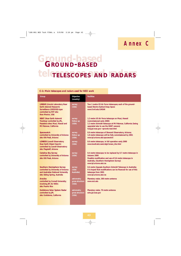# **telescopes and radars TELESCOPES AND RADARS Ground-based GROUND-BASED**

### **C-1:** *Main telescopes and radars used for NEO work*

| Group                                                                                                                                                        | Objective<br>(country)                 | <b>Facilities</b>                                                                                                                                                                                                              |
|--------------------------------------------------------------------------------------------------------------------------------------------------------------|----------------------------------------|--------------------------------------------------------------------------------------------------------------------------------------------------------------------------------------------------------------------------------|
| <b>LINEAR</b> (Lincoln Laboratory Near<br><b>Earth Asteroid Research)</b><br>Surveillance (GEODSS)-type<br>controlled by MIT site:<br><b>New Mexico, USA</b> | survey<br>(USA)                        | Two 1 metre US Air Force telescopes; each of the ground-<br>based Electro-Optical Deep Space<br>www.ll.mit.edu/LINEAR                                                                                                          |
| <b>NEAT</b> (Near Earth Asteroid<br>Tracking) controlled by JPL,<br>Pasadena sites: Maui, Hawaii and<br>Mt Palomar, California                               | survey<br>follow up<br>(USA)           | 1.2 metre US Air Force telescope on Maui, Hawaii<br>(commissioned early 2000)<br>1.2 metre Schmidt telescope at Mt Palomar, California (being<br>upgraded also to use the NEAT camera)<br>huey.jpl.nasa.gov/~spravdo/neat.html |
| <b>Spacewatch</b><br>controlled by University of Arizona<br>site: Kitt Peak, Arizona                                                                         | survey<br>follow up<br>(USA)           | 0.9 metre telescope of Steward Observatory, Arizona;<br>1.8 metre telescope will be fully commissioned by 2001<br>www.lpl.arizona.edu/spacewatch/                                                                              |
| <b>LONEOS (Lowell Observatory</b><br>Near Earth Object Search)<br>controlled by Lowell Observatory<br>site: Flagstaff, Arizona                               | survey<br>(USA)                        | 0.6 metre telescope, in full operation early 2000<br>www.lowell.edu/users/elgb/loneos_disc.html                                                                                                                                |
| <b>Catalina Sky Survey</b><br>controlled by University of Arizona<br>site: Kitt Peak, Arizona                                                                | survey<br>(USA)                        | 0.4 metre telescope; to be replaced by 0.7 metre telescope in<br>Autumn 2000<br>Possible modification and use of 0.6 metre telescope in<br>Australia, (Southern Hemisphere Survey)<br>www.lpl.arizona.edu/css                  |
| <b>Southern Hemisphere Survey</b><br>controlled by University of Arizona<br>and Australian National University<br>site: Siding Spring, Australia             | survey<br>(USA/<br>Australia)          | 0.6 metre Uppsala Southern Schmidt Telescope in Australia;<br>it is hoped that modifications can be financed for use of this<br>telescope from 2001<br>www.lpl.arizona.edu/css                                                 |
| <b>Arecibo</b><br>controlled by Cornell University;<br>involving JPL for NEOs<br>site: Puerto Rico                                                           | astrometry<br>gross structure<br>(USA) | Planetary radar, 300 metre antenna<br>www.naic.edu                                                                                                                                                                             |
| <b>Goldstone Solar System Radar</b><br>controlled by JPL<br>site: Goldstone, California                                                                      | astrometry<br>gross structure<br>(USA) | Planetary radar, 70 metre antenna<br>echo.jpl.nasa.gov                                                                                                                                                                         |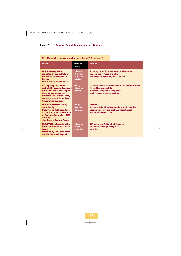| Group                                                                                                                                                                                                                                           | Objective<br>(country)                        | <b>Facilities</b>                                                                                                                                                  |
|-------------------------------------------------------------------------------------------------------------------------------------------------------------------------------------------------------------------------------------------------|-----------------------------------------------|--------------------------------------------------------------------------------------------------------------------------------------------------------------------|
| <b>DLR Planetary Radar</b><br>controlled by the Institute of<br>Planetary Exploration (DLR),<br>Germany<br>Site: Weilheim, Upper Bavaria                                                                                                        | follow up<br>(Germany<br>with USA/<br>Russia) | Planetary radar, 30 metre antenna. Uses radar<br>transmitters in Russia and USA<br>pentium.pe.ba.dlr.de/ourgroup/radar.htm                                         |
| <b>Bisei Spaceguard Centre</b><br>controlled by Japanese Spaceguard<br><b>Association with National Space</b><br>Development Agency, the<br><b>National Aeronautic Laboratory,</b><br>and the Science & Technology<br>Agency site: Bisei, Japan | survey<br>follow up<br>(Japan)                | 0.5 metre telescope currently in use (for NEO search and<br>for tracking space debris)<br>1 metre telescope near completion<br>neo.jpl.nasa.gov/missions/jsga.html |
| <b>OCA-DLR Asteroid Survey</b><br>controlled by<br>Observatoire de la Côte d'Azur<br>(OCA), France and the Institute<br>of Planetary Exploration (DLR),<br>Germany<br>site: North of Cannes, France                                             | survey<br>(France/<br>Germany)                | Pending<br>0.9 metre Schmidt telescope (Since April 1999 this<br>observing programme has been discontinued)<br>earn.dlr.de/odas/odas.htm                           |
| <b>KLENOT</b> (Klet observatory Near<br>Earth and Other unusual object<br>Team)<br>controlled by Klet Observatory<br>site: Mt Klet, Czech Republic                                                                                              | follow up<br>(Czech<br>Republic)              | 0.57 metre and 0.63 metre telescopes<br>1.02 metre telescope being built<br>www.klet.cz                                                                            |

### **C-1:** *Main telescopes and radars used for NEO (continued)*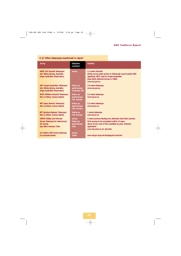### **C-2:** *Other telescopes mentioned in report*

| Group                                                                                                                         | Objective<br>(country)                       | <b>Facilities</b>                                                                                                                                                                                                  |
|-------------------------------------------------------------------------------------------------------------------------------|----------------------------------------------|--------------------------------------------------------------------------------------------------------------------------------------------------------------------------------------------------------------------|
| <b>UKST</b> (UK Schmidt Telescope)<br>site: Siding Spring, Australia;<br><b>Anglo Australian Observatory</b>                  | survey                                       | 1.2 metre Schmidt<br>All-sky survey plate archive in Edinburgh record earlier NEO<br>sightings; UKST used for Anglo-Australian<br>Near-Earth Asteroid Survey in 1990s<br>www.aao.gov.au                            |
| <b>AAT</b> (Anglo-Australian Telescope)<br>site: Siding Spring, Australia;<br><b>Anglo Australian Observatory</b>             | follow up<br>spectroscopy<br>(Australia, UK) | 3.9 metre telescope<br>www.aao.gov.au                                                                                                                                                                              |
| <b>WHT</b> (William Herschel Telescope)<br>site: La Palma, Canary Islands                                                     | follow up<br>spectroscopy<br>(UK, Europe)    | 4.2 metre telescope<br>www.ing.iac.es                                                                                                                                                                              |
| <b>INT</b> (Isaac Newton Telescope)<br>site: La Palma, Canary Islands                                                         | follow up<br>spectroscopy<br>(UK, Europe)    | 2.5 metre telescope<br>www.ing.iac.es                                                                                                                                                                              |
| <b>JKT</b> (Jacobus Kapteyn Telescope)<br>site: La Palma, Canary Islands                                                      | follow-up<br>(UK, Europe)                    | 1 metre telescope<br>www.ing.iac.es                                                                                                                                                                                |
| <b>VISTA</b> (Visible and Infrared<br><b>Survey Telescope for Astronomy)</b><br><b>UK</b> owned<br>site: ESO's Paranal, Chile | survey<br>follow up<br>spectroscopy<br>(UK)  | 4 metre primary feeding two alternate wide field cameras<br>First surveys to be completed within 12 years.<br>about 25 per cent of time available by peer reviewed<br>application<br>www-star.qmw.ac.uk/~jpe/vista |
| 6.5 metre, NSF survey telescope<br>(in proposal phase)                                                                        | survey<br>(USA)                              | www.nsf.gov/mps/ast/strategicplan/instr.htm                                                                                                                                                                        |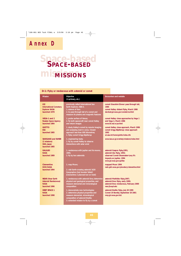# *Annex D*

# **missions MISSIONS Space-based SPACE-BASED**

### **D-1:** *Flyby or rendezvous with asteroid or comet*

| <b>Mission</b>                                                                         | Objective<br>(1=primary, etc.)                                                                                                                                                            | <b>Encounters and website</b>                                                                                                                            |
|----------------------------------------------------------------------------------------|-------------------------------------------------------------------------------------------------------------------------------------------------------------------------------------------|----------------------------------------------------------------------------------------------------------------------------------------------------------|
| <b>ICE</b><br><b>International Cometary</b><br><b>Explorer NASA</b><br>launched 1978   | previously called International Sun<br>Earth Explorer, ISEE-3.<br>1. science of Sun;<br>2. to pass through tail of a comet and<br>measure its plasma and magnetic features                | comet Giacobini-Zinner: pass through tail,<br>1985<br>comet Halley: distant flyby, March 1986<br>stardust.jpl.nasa.gov/comets/ice.html                   |
| <b>VEGA-1 and 2</b><br><b>Russian Space Agency</b><br>launched 1984                    | 1. probe surface of Venus;<br>2. fly both spacecraft near comet Halley<br>and return images                                                                                               | comet Halley: close approaches by Vega 1<br>and Vega 2, March 1986<br>www.iki.rssi.ru/pe.html                                                            |
| <b>GIOTTO</b><br><b>ESA</b><br>launched 1985                                           | 1. study Halley's comet by remote imaging<br>and analysing dust in coma. Closest<br>approach less than 600 kilometres;<br>2. flyby comet Grigg-Skjellerup                                 | comet Halley: close approach, March 1986<br>comet Grigg-Skjellerup: close approach<br>1992<br>sci.esa.int/home/giotto/index.cfm                          |
| <b>SAKIGAKE and SUISEI</b><br>(2 missions)<br>ISAS, Japan<br>launched 1985             | 1. engineering tests;<br>2. fly by comet Halley to observe<br>interactions with solar wind                                                                                                | www.isas.ac.jp/e/enterp/missions/index.html                                                                                                              |
| <b>GALILEO</b><br><b>NASA</b><br>launched 1989                                         | 1. rendezvous with Jupiter and its moons,<br>1995;<br>2. fly by two asteroids                                                                                                             | asteroid Gaspra: flyby, 1991;<br>asteroid Ida: flyby, 1993;<br>observed Comet Shoemaker-Levy 9's<br>impacts on Jupiter, 1994<br>www.jpl.nasa.gov/galileo |
| <b>Clementine</b><br><b>DOD/NASA</b><br>launched 1994                                  | 1. map Moon;<br>2. visit Earth-crossing asteroid 1620<br>Geographos (but booster failed)<br>[Clementine 2 planned but on hold]                                                            | mapped Moon 1994<br>nsdc.gsfc.nasa.gov/planetary/clementine.html                                                                                         |
| <b>NEAR (Near Earth</b><br><b>Asteroid Rendezvous)</b><br><b>NASA</b><br>launched 1996 | 1. rendezvous with asteroid Eros; determine<br>physical and geological properties, and<br>measure elemental and mineralogical<br>composition                                              | asteroid Mathilde: flyby, 1997;<br>asteroid Eros: flyby, early 1999;<br>asteroid Eros: rendezvous, February 2000<br>near.jhuapl.edu                      |
| <b>DEEP SPACE 1</b><br><b>NASA</b><br>launched 1998                                    | 1. demonstrate new technologies;<br>2. determine physical properties and<br>measure elemental, mineralogical<br>composition of asteroid Braille;<br>3. extended mission to fly by a comet | asteroid Braille: flyby, July 28 1999<br>Comet 19 Borelly; September 20 2001<br>nmp.jpl.nasa.gov/ds1                                                     |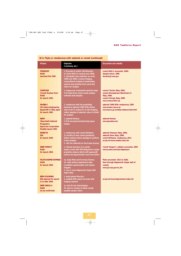| <b>Mission</b>                                                                                             | Objective<br>(1=primary, etc.)                                                                                                                                                                                                                                           | <b>Encounters and website</b>                                                                                                           |
|------------------------------------------------------------------------------------------------------------|--------------------------------------------------------------------------------------------------------------------------------------------------------------------------------------------------------------------------------------------------------------------------|-----------------------------------------------------------------------------------------------------------------------------------------|
| <b>STARDUST</b><br><b>NASA</b><br>launched Feb 1999                                                        | 1. fly probe to within 100 kilometre<br>of comet Wild-2's nucleus; June 2004;<br>2. interstellar dust collection en route<br>(2000 and 2002); nucleus imaging,<br>compositional analysis of particulates,<br>capture dust particles from coma and<br>return for analysis | comet Wild-2: encounter, 2004;<br>Sample return, 2006<br>stardust.jpl.nasa.gov                                                          |
| <b>CONTOUR</b><br>(Comet Nucleus Tour)<br><b>NASA</b><br>for launch 2002                                   | 1. images and comparative spectral maps<br>of at least three comet nuclei; analyse<br>collected dust samples                                                                                                                                                             | comet 2 Encke: flyby, 2003;<br>comet Schwassmann-Wachmann-3:<br>flyby, 2006;<br>comet d'Arrest: flyby, 2008<br>www.contour2002.org      |
| <b>MUSES-C</b><br>(Mu Space Engineering<br>Spacecraft C) ISAS, Japan<br>for launch 2002                    | 1. rendezvous with the potentially<br>hazardous asteroid 1998 SF36; deliver<br>nano-rover to surface for in-situ imaging,<br>collect samples of asteroid; return to Earth<br>for analysis                                                                                | asteroid 1998 SF36: rendezvous, 2005<br>www.muses-c.isas.ac.jp<br>www.isas.ac.jp/e/enterp/missions/index.html                           |
| <b>NEAP</b><br>(Near-Earth Asteroid<br>Prospector)<br><b>Space Dev Corporation</b><br>Possible launch 2001 | 1. asteroid Nereus;<br>2. first non-governmental deep space<br>mission                                                                                                                                                                                                   | asteroid Nereus<br>www.spacedev.com/                                                                                                    |
| <b>ROSETTA</b><br><b>ESA</b><br>for launch 2003                                                            | 1. rendezvous with comet Wirtanen;<br>11 months of near comet operations;<br>deliver surface science package to perform<br>in-situ analysis;<br>2. visit two asteroids on the 8-year journey                                                                             | asteroid Otawara: flyby, 2006;<br>asteroid Siwa: flyby, 2008;<br>comet Wirtanen, rendezvous, 2011<br>sci.esa.int/home/rosetta/index.cfm |
| <b>DEEP IMPACT</b><br><b>NASA</b><br>for launch 2004                                                       | 1. internal structure of a comet;<br>impact comet with 500 kilogramme copper<br>projectile; observe debris with spacecraft<br>camera and spectrometer (and from Earth)                                                                                                   | Comet Tempel 1: collision encounter, 2005<br>www.ss.astro.umd.edu/deepimpact                                                            |
| <b>PLUTO-KUIPER EXPRESS</b><br><b>NASA</b><br>for launch 2004                                              | 1a. study Pluto and its moon, Charon;<br>1b. radio science experiment; solar<br>occultation spectrometer and various<br>imagers;<br>2. one or more Edgeworth-Kuiper Belt<br>object flyby                                                                                 | Pluto encounter: 2012 to 2020;<br>then through Edgeworth-Kuiper belt of<br>comets<br>www.jpl.nasa.gov/ice_fire                          |
| <b>BEPI-COLOMBO</b><br><b>ESA planned for launch</b><br>in or after 2009                                   | 1. study planet Mercury;<br>2. possible NEO search en-route with<br>imaging cameras                                                                                                                                                                                      | sci.esa.int/home/bepicolombo/index.cfm                                                                                                  |
| <b>DEEP SPACE 4</b><br><b>NASA</b><br>(to be confirmed)                                                    | 1a. test 20 new technologies;<br>1b. land on nucleus of active comet;<br>possible sample return                                                                                                                                                                          |                                                                                                                                         |

### **D-1:** *Flyby or rendezvous with asteroid or comet (continued)*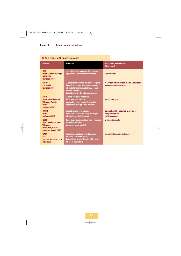**after 2009 to about 500 metres.**

### **D-2:** *Missions with space telescopes* **Mission Completive Completive Encounters and website (1=primary) HST space telescope (aperture 2.4 metres); Hubble Space Telescope optical and ultra violet wavelengths www.stsci.edu NASA/ESA launched 1990 SOHO 1. study Sun's internal structure (keeping > 100 comets discovered, mostly Sun-grazers ESA/NASA in orbit 1.5 million kilometre sun-ward** *sohowww.nascom.nasa.gov* **launched 1995 of Earth for uninterrupted view of Sun), various imagers; 2. inadvertently detects many comets SIRTF 1. infra-red space telescope Space based Infrared (aperture 0.85 metres)** *sirtf.jpl.nasa.gov* **Telescope Facility nay detect many asteroids based on NASA experience from previous missions for launch 2001 SWIFT 1. study gamma-ray bursts; asteroids will be detected as 'noise' to NASA burst -alert telescope; X-ray telescope; <b>the primary data for launch 2003 ultraviolet/optical telescope** *swift.sonoma.edu* **NGST large space telescope (aperture ~8 metres)** *www.ngst.stsci.edu* **Next Generation Space** (primarily infrared) **Telescope proposals being studied NASA, ESA, Canada proposed launch 2007 GAIA 1. measure positions of distant stars** *sci.esa.int/home/gaia/index.cfm* **ESA (1-metre class telescopes); planned for launch in or 2. predicted also to discover NEOs down**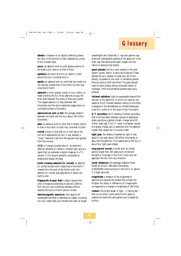*Glossary*

**albedo:** a measure of an object's reflecting power; the ratio of the amount of light scattered by a body to the incident light.

**amor:** an asteroid with an orbit always exterior to the Earth's, but interior to that of Mars.

**aphelion**: the point at which an object in orbit around the Sun is furthest from it.

**apollo:** an asteroid with an orbit that lies mostly but not entirely outside that of the Earth; its orbit may cross that of Earth.

**asteroid:** a minor planet; a body of rock, carbon, or metal orbiting the Sun. Most asteroids occupy the Main Belt between the orbits of Mars and Jupiter. The largest asteroid is Ceres, diameter 950 kilometres, and the size of asteroids ranges down to countless numbers of boulders.

**astronomical unit, or AU:** the average distance between the Earth and the Sun; about 150 million kilometres.

**aten:** an asteroid with an orbit that is mostly interior to that of the Earth; its orbit may cross that of Earth.

**comet**: a body of dust and ice in orbit about the Sun.As it approaches the Sun it may develop a "fuzzy" head and a tail from the gas and dust ejected from the nucleus.

**CCD:** a "charge-coupled device"; an electronic detector sensitive to visible or infrared light, giving a signal that can generate a digital image as in a TV camera. CCDs require powerful computers to analyse and display the data.

**Earth crossing asteroid [or comet]:** an asteroid [or comet] whose orbit crosses that of the Earth if viewed from the pole of the Earth's orbit; the asteroid [or comet] may pass above or below the Earth's orbit.

**Edgeworth–Kuiper Belt:** a region beyond the orbit of Neptune extending to around 1,000 AU from the Sun and containing perhaps a billion objects; the source of short-period comets.

**electromagnetic spectrum:** the range of all wavelengths emitted or absorbed by matter, including not only visible light, but infrared and radio at longer

wavelengths and ultraviolet, X-rays and gamma rays at shorter wavelengths; analysis of the spectrum is the main way that astronomers gain insight into the nature of astronomical bodies.

**giant planets:** the four outer planets in the solar system: Jupiter, Saturn, Uranus and Neptune.These planets are very massive, of great size, yet of low density compared to the inner or terrestrial planets Mercury,Venus, Earth and Mars.The giant planets have no solid surface, being composed mainly of hydrogen, while the terrestrial planets have rocky surfaces.

**infrared radiation:** light at wavelengths beyond the red part of the spectrum, to which our eyes do not respond. Much infrared radiation falling on the Earth is stopped in the atmosphere, so infrared telescopes must be in orbit or on the tops of high mountains.

**K/T boundary:** the Cretaceous-Tertiary boundary, that is the boundary between groups of geological strata, signifying a global climatic change some 65 million years ago.The K/T event is whatever caused this global change, and is identified with the asteroid impact that caused the Chicxulub crater.

**light year:** the distance travelled by light in free space in one year; about 100 billion kilometres, or about 60 thousand AU.The nearest star to the Sun is about four light years distant.

**long-period comet:** a comet with an orbital period longer than 200 years; such comets are thought to originate in the Oort Cloud, and can approach the Sun from any direction.

**lunar distance:** the average distance from Earth to Moon: 384,400 kilometres, 0.00256955 Astronomical Units (AU) or about 1.3 light seconds.

**magnitude:** a measure of the brightness of astronomical objects; the smaller the number the brighter the object.A difference of 5 magnitudes corresponds to a change in brightness of 100 times.

**meteor:** the bright streak of light – a "falling star" – that occurs when a solid particle from space (a meteoroid) enters the atmosphere and is heated by friction.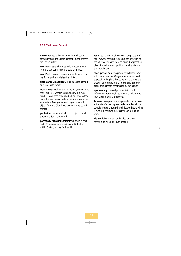**meteorite:** a solid body that partly survives the passage through the Earth's atmosphere, and reaches the Earth's surface.

**near Earth asteroid:** an asteroid whose distance from the Sun at perihelion is less than 1.3 AU.

**near Earth comet:** a comet whose distance from the Sun at perihelion is less than 1.3 AU.

**Near Earth Object (NEO):** a near Earth asteroid or a near Earth comet.

**Oort Cloud:** a sphere around the Sun, extending to about two light years in radius, filled with a huge number (more than a thousand billion) of cometary nuclei that are the remnants of the formation of the solar system. Passing stars are thought to perturb objects from the Cloud, and cause the long-period comets.

**perihelion:** the point at which an object in orbit around the Sun is closest to it.

**potentially hazardous asteroid**: an asteroid of at least 150 metres diameter, with an orbit that is within 0.05 AU of the Earth's orbit.

**radar:** active sensing of an object using a beam of radio waves directed at the object; the detection of the reflected radiation from an asteroid or planet can give information about position, velocity, rotation, and morphology.

**short-period comet**: a previously detected comet, with period less than 200 years; such comets tend to approach in the plane that contains the planets, are thought to originate in the Kuiper Belt, and their orbits are subject to perturbation by the planets.

**spectroscopy:** the analysis of radiation, and inference of its source, by splitting the radiation up into its constituent wavelengths.

**tsunami:** a deep water wave generated in the ocean at the site of an earthquake, underwater landslip, or asteroid impact; a tsunami amplifies and breaks when it runs into shallows; incorrectly known as a tidal wave.

**visible light:** that part of the electromagnetic spectrum to which our eyes respond.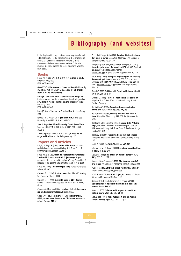# *Bibliography (and websites)*

In the chapters of this report references are only given for each Table and Graph. For the craters in Annex B-1, references are given at the end of this Bibliography.Annexes C and D themselves include names of relevant websites. Otherwise, reference should be made to the books, papers and web sites listed below.

## **Books**

Bailey ME, Clube SVM & Napier WM, *The origin of comets,* Pergamon Press, 1990, ISBN 0-08-034858-0

Gehrels T (Ed), *Hazards due to Comets and Asteroids,* University of Arizona Press, 1994, ISBN 0-8165-1505-0 *This covers all aspects of NEOs, comprehensively.*

Lewis JS, *Comet and Asteroid Impact Hazards on a Populated Earth,* Academic Press (includes software disk allowing random simulations of impactor flux to Earth and consequent deaths occurring). 2000.

ISBN 0-12-44760-1

Lewis JS, *Rain of Iron and Ice*, Reading, Mass, Addison-Wesley, 1996

Spencer JR & Mitton J, *The great comet crash,* Cambridge University Press 1995, ISBN 0-521-48274-7

Steel D, *Rogue Asteroids and Doomsday Comets,* John Wiley and Sons Inc, 1995, ISBN 0-471-30824-2; 1997, ISBN 0-471- 19338-0

Thomas PJ (Ed), Chyba CF & McKay CP, *Comets and the Origin and Evolution of Life,* Springer-Verlag, 1997

## **Papers and articles**

Ball, DJ & Floyd, PJ (1998) *Societal Risks;* Research Report, available from Risk Assessment Policy Unit, Rose Court, 2 Southwark Bridge, London SE1 9HS

Binzel RP, et al (1999) *From the Pragmatic to the Fundamental: The Scientific Case for Near-Earth Object Surveys,* Report prepared for Astronomy and Astrophysics Survey Committee of National of the National Academy of Sciences, 10 May 1999

Binzel RP, (2000) *The Torino Impact Scale,* Planetary and Space Science, **48**, 297

Canavan, G H (1994), *What can we do about it?* AAAS Meeting, San Francisco, February 1994

Canavan, G H (1995), *Cost and Benefits of NEO Defences*, Planetary Defence Workshop, 1995, see also T Gehrels' book, above

Chapman & Morrison (1994), *Impacts on the Earth by asteroids and comets: assessing the hazard,* Nature, **367**, 33

Clube SVM, Hoyle F, Napier WM, & Wickramasinghe NC (1996), *Giant Comets, Evolution and Civilisations,* Astrophysics & Space Science, **245**, 42

Council of Europe, study (1996) *Report on detection of asteroids etc, Council of Europe:* Doc. 7480, 9 February 1996 Council of Europe: reference motion 1080

European Space Agency's Operations Centre (ESOC) (1997), *Study of a global network for research on NEOs,* ESOC Contract No. 12314/97, European Space Agency, www.esa.int/gsp/ (Applications then Page reference 97/A10)

ESOC study (2000); *Spaceguard Integrated System for Potentially Hazardous Object Survey*, Carusi et al, ESOC Contract No. 13265/98 with report ref D/IM, SGF/Pr#2/Doc-05, 28 April 2000. www.esa.int/gsp/ (Applications then Page reference 98/A15)

Gehrels T (1996) *Collisions with Comets and Asteroids,* Scientific American, **274**, No 3, p34

Grintzer C, (1998) *The NEO Impact Hazard and options for mitigation,* EUROSPACE Technische Entwicklung GmbH, Potsdam, Germany.

Harris,Alan W (1998a), *Evaluation of ground-based optical surveys for NEOs*, Planet & Space Sci. **46,** 283

Harris,Alan W (1998b), *Searching for NEAs from Earth or Space*, Highlights of Astronomy, **11A**, 257 (Ed: J Andersen for IAU).

Health and Safety Executive (1999): *Reducing Risks, Protecting People,* Discussion Document.Available from Jean Le Guen, Risk Assessment Policy Unit, Rose Court, 2 Southwark Bridge, London SE1 9HS

Holloway NJ (1997) *Tolerability of Risk from NEO impacts,* Spaceguard meeting at Royal Greenwich Observatory, 10 July 1997

Jewitt, D (2000), *Eyes Wide Shut*, Nature **403**, 145

Johnson-Freese J & Knox J (2000) *Preventing Armageddon: Hype or Reality*, JBIS, **53**, 173

Lissauer JJ (1999) *How common are habitable planets?* Nature, **402**, p C11, Supp, 2.12.99

Morrison D & Chapman C (1995) *The Biospheric hazard of large impacts*, Proceedings of Planetary Defence Workshop, 1995

POST Report 81, *Safety in Numbers*, Parliamentary Office of Science and Technology, UK, June 1996

POST Report 126, *Near Earth Objects*, Parliamentary Office of Science and Technology, UK, April 1999

Rabinowitz D, Helin E, Lawrence K & Pravdo S (2000) *Reduced estimate of the number of kilometre-sized near-Earth asteroids*, Nature, **403**, 165

Solem JC (2000) *Deflection and Disruption of Asteroids on Collision Course with Earth,* JBIS, **53**, 180

Steel, D et al (1997), *Anglo-Australian Near-Earth Asteroid Survey: Valedictory report, Aust. J. Astr. 7 (2): 67*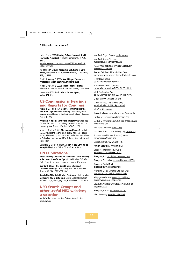Urias JM et al (1996) *Planetary Defence: Catastrophic Health Insurance for Planet Earth* Research Paper presented to "USAF 2025",

www.fas.org/spp/military/docops/usaf/2025/v3c16/v3c16- 1.htm#Contents

van den Bergh, S (1994) *Astronomical Catastrophes in Earth History*, Publications of the Astronomical Society of the Pacific, **106**, July 1994

Ward S & Asphaug E (2000a) *Asteroid Impact Tsunami – a Probabilistic Hazard Assessment,* submitted to *Icarus*

Ward S & Asphaug E (2000b) *Impact Tsunami – Eltinan,* submitted to *Deep Sea Research – Oceanic Impacts,* 7 June 2000

Yeomans, D (2000) *Small bodies of the Solar System*, Nature, **404**, 829

### **US Congressional Hearings and Reports for Congress**

Rather JDG, Rahe JH & Canavan G, *Summary report of the Near Earth Object Interception Workshop,* sponsored by NASA headquarters and hosted by the Los Alamos National Laboratory, August 31, 1992

*Proceedings of the Near-Earth Object Interception* Workshop (eds. Canavan GH, Solem JC & Rather JDG), Los Alamos National Laboratory, New Mexico, USA, LA-12476-C (1993)

Morrison D (chair) (1992), *The Spaceguard Survey,* Report of NASA International Near-Earth-Object Detection Workshop, January 1992 (Jet Propulsion Laboratory and California Institute of Technology) prepared for NASA Office of Space Science and **Technology** 

Shoemaker E (Chair) et al (1995), *Report of Near-Earth Objects Survey Working Group*, Office of Space Science, NASA

### **UN Publications**

*General Assembly Resolutions and International Treaties Pertaining to the Peaceful Uses of Outer Space,* United Nations Office for Outer Space Affairs, www.oosa.unvienna.org/treat/treat.html

*Near-Earth Objects – The United Nations International Conference, Proceedings,* J Remo (Ed), New York Academy of Sciences,ANYAA9 822 1-632, 1997

*Report of the Third United Nations Conference on the Exploration and Peaceful Uses of Outer Space,* United Nations Publication A/CONF.184/6,Vienna, July 1999, Resolution I.1.c.i, iii and iv

## **NEO Search Groups and other useful NEO websites, a selection**

NASA/Jet Propulsion Lab: Solar Systems Dynamics Site: ssd.jpl.nasa.gov

Near Earth Object Program: neo.jpl.nasa.gov

Near Earth Asteroid Tracking: huey.jpl.nasa.gov/~spravdo/neat.html

NASA/Ames Research Centre: space.arc.nasa.gov astrobiology.arc.nasa.gov

Asteroid Fact Sheet, NASA/Goddard Pages nssdc.gsfc.nasa.gov/planetary/factsheet/asteroidfact.html

Minor Planet Center: cfa-www.harvard.edu/iau/mpc.html

Minor Planet Ephemeris Service, cfa-www.harvard.edu/iau/MPEph/MPEph.html:

NEO Confirmation Page : cfa-www.harvard.edu/iau/NEO/ToConfirm.html:

LINEAR: www.ll.mit.edu/LINEAR/

LINEAR: Project's sky coverage plots, www.ll.mit.edu/LINEAR/skyplots.html

NEAT: neat.jpl.nasa.gov

Spacewatch Project: www.lpl.arizona.edu/spacewatch/

Catalina Sky Survey: www.lpl.arizona.edu/css/

LONEOS**:** www.lowell.edu/users/elgb/loneos\_disc.html asteroid.lowell.edu/

The Planetary Society: planetary.org/

International Astronomical Union (IAU): www.iau.org

European Asteroid Research Node (EARN): www.astro.uu.se/planet/earn/

Uppsala observatory: www.astro.uu.se

Armagh Observatory: www.arm.ac.uk

Society for Interdisciplinary Studies www.knowledge.co.uk/xxx/cat/sis/

Spaceguard, UK: ds.dial.pipex.com/spaceguard/

Spaceguard Foundation: spaceguard.ias.rm.cnr.it/SGF/

Spaceguard Central Node, spaceguard.ias.rm.cnr.it/index.html

Near Earth Object Dynamics Site, NEODyS: newton.dm.unipi.it/cgi-bin/neodys/neoibo

Riskpage website, Pisa: newton.dm.unipi.it/cgibin/neodys/neoibo?riskpage:0;main

Spaceguard,Australia: www1.tpgi.com.au/users/tpsseti/spacegd.html

Spaceguard, Canada: www.spaceguard.ca/?

Klet Observatory: www.klet.cz/foll.html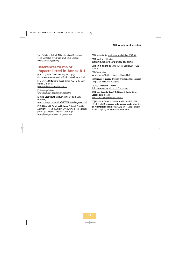*Space Protection of the Earth*,Third International Conference, 11–15 September, 2000, Evpatoriya, Crimea, Ukraine: www.snezhinsk.ru/spe2000/

## **References to major impacts listed in Annex B-1**

[1, 4, 7, 12] *Impact Craters on Earth,* NASA pages observe.ivv.nasa.gov/nasa/exhibits/craters/impact\_master.html

[2, 5, 6, 9, 13, 14] *Terrestrial Impact Craters,*Views of the Solar System, CJ Hamilton www.solarviews.com/eng/tercrate.htm

[5] Aorounga Craters www.jpl.nasa.gov/radar/sircxsar/chad2.html

[3] *Killer Crater Found,* Discovery.com news pages, Larry O'Hanlon,

www.discovery.com/news/briefs/20000419/geology\_crater.html

[8] *Collisions with Comets and Asteroids,* T Gehrels, Scientific American,Vol 274, No 3, March 1996, p34; more on Chicxulub: planetscapes.com/solar/raw/earth/chicxulb.gif; www.jpl.nasa.gov/radar/sircxsar/yucatan.html

[10] Chesapeake Bay: marine.usgs.gov/fact-sheets/fs49-98/

[11] Roter Kamm, Namibia: southport.jpl.nasa.gov/pio/srl1/sirc/srl1-roterkamm.gif

[16] *Rain of Iron and Ice,* Lewis, JS, Helix Books ISBN: 0-201- 48950-3

[17] Wabar Craters,

www.sciam.com/1998/1198issue/1198wynn.html

[18] *Tunguska Homepage,* University of Bologna pages, Guiseppe Longo www-th.bo.infn.it/tunguska/

[19, 20,] *Spaceguard UK Report,* ds.dial.pipex.com/town/terrace/fr77/more.htm

[21] *Comet Shoemaker-Levy 9 Collision with Jupiter,* NASA Goddard pages, JH King nssdc.gsfc.nasa.gov/planetary/comet.html

[22] Eltanin R Grieve in Ann NY Acad Sci, vol 822, p.338, 1997; Kyte et al *New evidence on the size and possible effects of a late Pliocene oceanic impact*, Science, 241, 63–65, 1988. Papers by Ward S & Asphaug, see Papers and Articles, above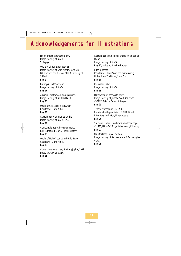# *Acknowledgements for Illustrations*

Moon impact craters and Earth. Image courtesy of NASA. *Title page*

Orbits of all near Earth asteroids*.* Image courtesy of Scott Manley (Armagh Observatory) and Duncan Steel (University of Salford).

*Page 9*

Barringer Crater,Arizona*.* Image courtesy of NASA. *Page 10*

Asteroid Eros from orbiting spacecraft. Image courtesy of NEAR/NASA. *Page 11*

Orbits of Aten, Apollo and Amor. Courtesy of David Asher. *Page 12*

Asteroid belt within Jupiter's orbit. Image courtesy of NASA/JPL. *Page 12*

Comet Hale-Bopp above Stonehenge. Paul Sutherland, Galaxy Picture Library. *Page 13*

Orbits of Halley's comet and Hale-Bopp. Courtesy of David Asher. *Page 13*

Comet Shoemaker-Levy 9 hitting Jupiter, 1994. Image courtesy of NASA. *Page 15*

Asteroid and comet impact craters on far side of Moon. Image courtesy of NASA. *Page 17, Inside front and back covers*

Eltanin impact. Courtesy of Steven Ward and Eric Asphaug, University of California, Santa Cruz. *Page 18*

Clearwater Lakes. Image courtesy of NASA. *Page 19*

Observation of near earth object. Image courtesy of James V. Scotti (observer), © (1997) Arizona Board of Regents. *Page 23*

1 metre telescope, of LINEAR. Reprinted with permission of MIT Lincoln Laboratory, Lexington, Massachusetts. *Page 26*

1.2 metre United Kingdom Schmidt Telescope. © 1982, UK ATC, Royal Observatory, Edinburgh *Page 27*

NASA's Deep Impact mission. Image courtesy of Ball Aerospace & Technologies Corp. *Page 29*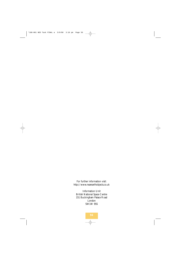For further information visit: http://www.nearearthobjects.co.uk

Information Unit British National Space Centre 151 Buckingham Palace Road London SW1W 9SS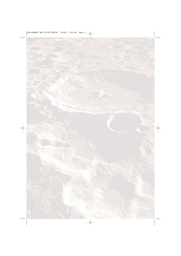